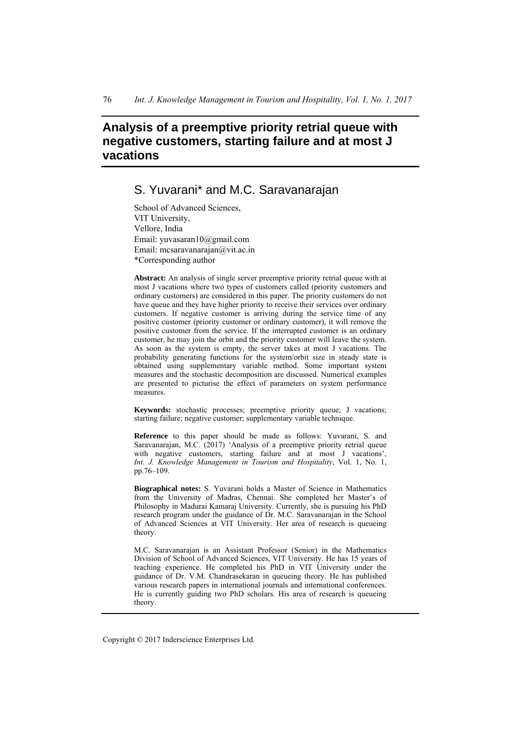# **Analysis of a preemptive priority retrial queue with negative customers, starting failure and at most J vacations**

# S. Yuvarani\* and M.C. Saravanarajan

School of Advanced Sciences, VIT University, Vellore, India Email: yuvasaran10@gmail.com Email: mcsaravanarajan@vit.ac.in \*Corresponding author

**Abstract:** An analysis of single server preemptive priority retrial queue with at most J vacations where two types of customers called (priority customers and ordinary customers) are considered in this paper. The priority customers do not have queue and they have higher priority to receive their services over ordinary customers. If negative customer is arriving during the service time of any positive customer (priority customer or ordinary customer), it will remove the positive customer from the service. If the interrupted customer is an ordinary customer, he may join the orbit and the priority customer will leave the system. As soon as the system is empty, the server takes at most J vacations. The probability generating functions for the system/orbit size in steady state is obtained using supplementary variable method. Some important system measures and the stochastic decomposition are discussed. Numerical examples are presented to picturise the effect of parameters on system performance measures.

**Keywords:** stochastic processes; preemptive priority queue; J vacations; starting failure; negative customer; supplementary variable technique.

**Reference** to this paper should be made as follows: Yuvarani, S. and Saravanarajan, M.C. (2017) 'Analysis of a preemptive priority retrial queue with negative customers, starting failure and at most J vacations', *Int. J. Knowledge Management in Tourism and Hospitality*, Vol. 1, No. 1, pp.76–109.

**Biographical notes:** S. Yuvarani holds a Master of Science in Mathematics from the University of Madras, Chennai. She completed her Master's of Philosophy in Madurai Kamaraj University. Currently, she is pursuing his PhD research program under the guidance of Dr. M.C. Saravanarajan in the School of Advanced Sciences at VIT University. Her area of research is queueing theory.

M.C. Saravanarajan is an Assistant Professor (Senior) in the Mathematics Division of School of Advanced Sciences, VIT University. He has 15 years of teaching experience. He completed his PhD in VIT University under the guidance of Dr. V.M. Chandrasekaran in queueing theory. He has published various research papers in international journals and international conferences. He is currently guiding two PhD scholars. His area of research is queueing theory.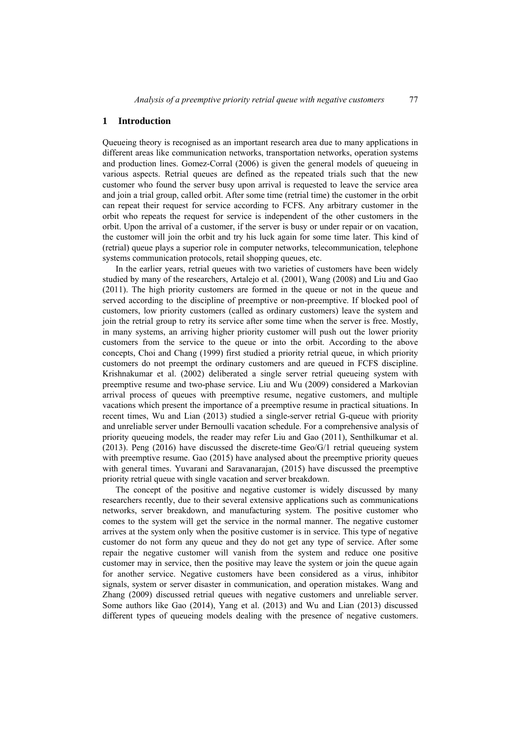#### **1 Introduction**

Queueing theory is recognised as an important research area due to many applications in different areas like communication networks, transportation networks, operation systems and production lines. Gomez-Corral (2006) is given the general models of queueing in various aspects. Retrial queues are defined as the repeated trials such that the new customer who found the server busy upon arrival is requested to leave the service area and join a trial group, called orbit. After some time (retrial time) the customer in the orbit can repeat their request for service according to FCFS. Any arbitrary customer in the orbit who repeats the request for service is independent of the other customers in the orbit. Upon the arrival of a customer, if the server is busy or under repair or on vacation, the customer will join the orbit and try his luck again for some time later. This kind of (retrial) queue plays a superior role in computer networks, telecommunication, telephone systems communication protocols, retail shopping queues, etc.

In the earlier years, retrial queues with two varieties of customers have been widely studied by many of the researchers, Artalejo et al. (2001), Wang (2008) and Liu and Gao (2011). The high priority customers are formed in the queue or not in the queue and served according to the discipline of preemptive or non-preemptive. If blocked pool of customers, low priority customers (called as ordinary customers) leave the system and join the retrial group to retry its service after some time when the server is free. Mostly, in many systems, an arriving higher priority customer will push out the lower priority customers from the service to the queue or into the orbit. According to the above concepts, Choi and Chang (1999) first studied a priority retrial queue, in which priority customers do not preempt the ordinary customers and are queued in FCFS discipline. Krishnakumar et al. (2002) deliberated a single server retrial queueing system with preemptive resume and two-phase service. Liu and Wu (2009) considered a Markovian arrival process of queues with preemptive resume, negative customers, and multiple vacations which present the importance of a preemptive resume in practical situations. In recent times, Wu and Lian (2013) studied a single-server retrial G-queue with priority and unreliable server under Bernoulli vacation schedule. For a comprehensive analysis of priority queueing models, the reader may refer Liu and Gao (2011), Senthilkumar et al. (2013). Peng (2016) have discussed the discrete-time  $Geo/G/1$  retrial queueing system with preemptive resume. Gao (2015) have analysed about the preemptive priority queues with general times. Yuvarani and Saravanarajan, (2015) have discussed the preemptive priority retrial queue with single vacation and server breakdown.

The concept of the positive and negative customer is widely discussed by many researchers recently, due to their several extensive applications such as communications networks, server breakdown, and manufacturing system. The positive customer who comes to the system will get the service in the normal manner. The negative customer arrives at the system only when the positive customer is in service. This type of negative customer do not form any queue and they do not get any type of service. After some repair the negative customer will vanish from the system and reduce one positive customer may in service, then the positive may leave the system or join the queue again for another service. Negative customers have been considered as a virus, inhibitor signals, system or server disaster in communication, and operation mistakes. Wang and Zhang (2009) discussed retrial queues with negative customers and unreliable server. Some authors like Gao (2014), Yang et al. (2013) and Wu and Lian (2013) discussed different types of queueing models dealing with the presence of negative customers.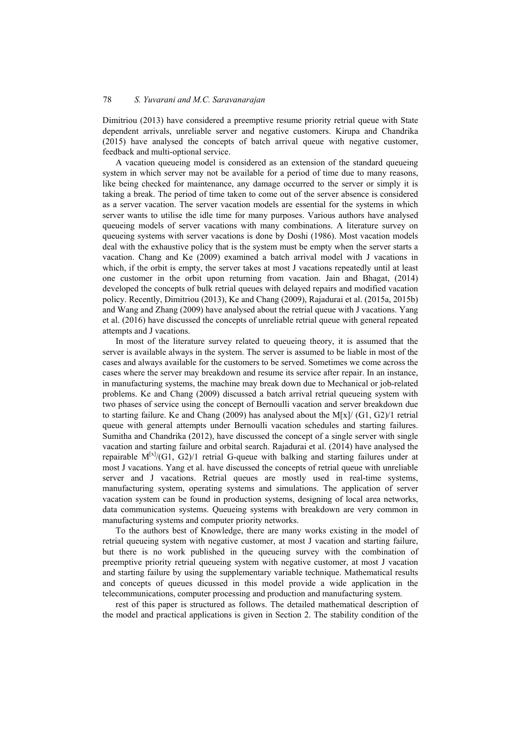Dimitriou (2013) have considered a preemptive resume priority retrial queue with State dependent arrivals, unreliable server and negative customers. Kirupa and Chandrika (2015) have analysed the concepts of batch arrival queue with negative customer, feedback and multi-optional service.

A vacation queueing model is considered as an extension of the standard queueing system in which server may not be available for a period of time due to many reasons, like being checked for maintenance, any damage occurred to the server or simply it is taking a break. The period of time taken to come out of the server absence is considered as a server vacation. The server vacation models are essential for the systems in which server wants to utilise the idle time for many purposes. Various authors have analysed queueing models of server vacations with many combinations. A literature survey on queueing systems with server vacations is done by Doshi (1986). Most vacation models deal with the exhaustive policy that is the system must be empty when the server starts a vacation. Chang and Ke (2009) examined a batch arrival model with J vacations in which, if the orbit is empty, the server takes at most J vacations repeatedly until at least one customer in the orbit upon returning from vacation. Jain and Bhagat, (2014) developed the concepts of bulk retrial queues with delayed repairs and modified vacation policy. Recently, Dimitriou (2013), Ke and Chang (2009), Rajadurai et al. (2015a, 2015b) and Wang and Zhang (2009) have analysed about the retrial queue with J vacations. Yang et al. (2016) have discussed the concepts of unreliable retrial queue with general repeated attempts and J vacations.

In most of the literature survey related to queueing theory, it is assumed that the server is available always in the system. The server is assumed to be liable in most of the cases and always available for the customers to be served. Sometimes we come across the cases where the server may breakdown and resume its service after repair. In an instance, in manufacturing systems, the machine may break down due to Mechanical or job-related problems. Ke and Chang (2009) discussed a batch arrival retrial queueing system with two phases of service using the concept of Bernoulli vacation and server breakdown due to starting failure. Ke and Chang (2009) has analysed about the M[x]/ (G1, G2)/1 retrial queue with general attempts under Bernoulli vacation schedules and starting failures. Sumitha and Chandrika (2012), have discussed the concept of a single server with single vacation and starting failure and orbital search. Rajadurai et al. (2014) have analysed the repairable  $M^{[x]/}(G)$ ,  $G_2$ )/1 retrial G-queue with balking and starting failures under at most J vacations. Yang et al. have discussed the concepts of retrial queue with unreliable server and J vacations. Retrial queues are mostly used in real-time systems, manufacturing system, operating systems and simulations. The application of server vacation system can be found in production systems, designing of local area networks, data communication systems. Queueing systems with breakdown are very common in manufacturing systems and computer priority networks.

To the authors best of Knowledge, there are many works existing in the model of retrial queueing system with negative customer, at most J vacation and starting failure, but there is no work published in the queueing survey with the combination of preemptive priority retrial queueing system with negative customer, at most J vacation and starting failure by using the supplementary variable technique. Mathematical results and concepts of queues dicussed in this model provide a wide application in the telecommunications, computer processing and production and manufacturing system.

rest of this paper is structured as follows. The detailed mathematical description of the model and practical applications is given in Section 2. The stability condition of the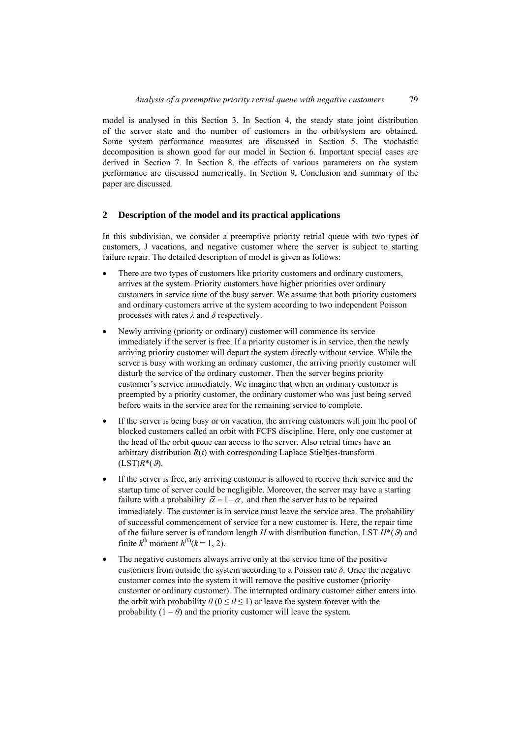model is analysed in this Section 3. In Section 4, the steady state joint distribution of the server state and the number of customers in the orbit/system are obtained. Some system performance measures are discussed in Section 5. The stochastic decomposition is shown good for our model in Section 6. Important special cases are derived in Section 7. In Section 8, the effects of various parameters on the system performance are discussed numerically. In Section 9, Conclusion and summary of the paper are discussed.

#### **2 Description of the model and its practical applications**

In this subdivision, we consider a preemptive priority retrial queue with two types of customers, J vacations, and negative customer where the server is subject to starting failure repair. The detailed description of model is given as follows:

- There are two types of customers like priority customers and ordinary customers, arrives at the system. Priority customers have higher priorities over ordinary customers in service time of the busy server. We assume that both priority customers and ordinary customers arrive at the system according to two independent Poisson processes with rates *λ* and *δ* respectively.
- Newly arriving (priority or ordinary) customer will commence its service immediately if the server is free. If a priority customer is in service, then the newly arriving priority customer will depart the system directly without service. While the server is busy with working an ordinary customer, the arriving priority customer will disturb the service of the ordinary customer. Then the server begins priority customer's service immediately. We imagine that when an ordinary customer is preempted by a priority customer, the ordinary customer who was just being served before waits in the service area for the remaining service to complete.
- If the server is being busy or on vacation, the arriving customers will join the pool of blocked customers called an orbit with FCFS discipline. Here, only one customer at the head of the orbit queue can access to the server. Also retrial times have an arbitrary distribution *R*(*t*) with corresponding Laplace Stieltjes-transform (LST)*R*\*(ϑ).
- If the server is free, any arriving customer is allowed to receive their service and the startup time of server could be negligible. Moreover, the server may have a starting failure with a probability  $\bar{\alpha} = 1 - \alpha$ , and then the server has to be repaired immediately. The customer is in service must leave the service area. The probability of successful commencement of service for a new customer is. Here, the repair time of the failure server is of random length *H* with distribution function, LST  $\hat{H}^*(\mathcal{G})$  and finite  $k^{\text{th}}$  moment  $h^{(k)}(k=1, 2)$ .
- The negative customers always arrive only at the service time of the positive customers from outside the system according to a Poisson rate  $\delta$ . Once the negative customer comes into the system it will remove the positive customer (priority customer or ordinary customer). The interrupted ordinary customer either enters into the orbit with probability  $\theta$  ( $0 \le \theta \le 1$ ) or leave the system forever with the probability  $(1 - \theta)$  and the priority customer will leave the system.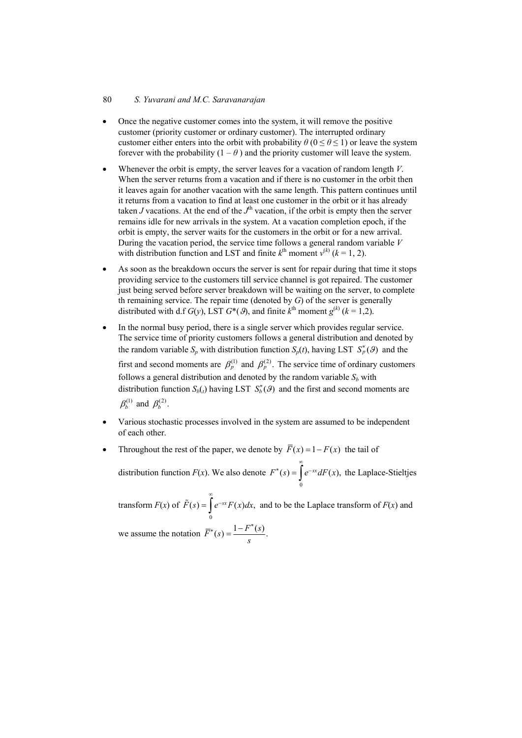- Once the negative customer comes into the system, it will remove the positive customer (priority customer or ordinary customer). The interrupted ordinary customer either enters into the orbit with probability  $\theta$  ( $0 \le \theta \le 1$ ) or leave the system forever with the probability  $(1 - \theta)$  and the priority customer will leave the system.
- Whenever the orbit is empty, the server leaves for a vacation of random length *V*. When the server returns from a vacation and if there is no customer in the orbit then it leaves again for another vacation with the same length. This pattern continues until it returns from a vacation to find at least one customer in the orbit or it has already taken *J* vacations. At the end of the  $J<sup>th</sup>$  vacation, if the orbit is empty then the server remains idle for new arrivals in the system. At a vacation completion epoch, if the orbit is empty, the server waits for the customers in the orbit or for a new arrival. During the vacation period, the service time follows a general random variable *V* with distribution function and LST and finite  $k^{\text{th}}$  moment  $v^{(k)}$  ( $k = 1, 2$ ).
- As soon as the breakdown occurs the server is sent for repair during that time it stops providing service to the customers till service channel is got repaired. The customer just being served before server breakdown will be waiting on the server, to complete th remaining service. The repair time (denoted by *G*) of the server is generally distributed with d.f *G*(*y*), LST *G*\*(*G*), and finite  $k^{\text{th}}$  moment  $g^{(k)}$  ( $k = 1,2$ ).
- In the normal busy period, there is a single server which provides regular service. The service time of priority customers follows a general distribution and denoted by the random variable  $S_p$  with distribution function  $S_p(t)$ , having LST  $S_p^*(\mathcal{Y})$  and the first and second moments are  $\beta_p^{(1)}$  and  $\beta_p^{(2)}$ . The service time of ordinary customers follows a general distribution and denoted by the random variable  $S_b$  with distribution function  $S_b(t)$  having LST  $S_b^*(\mathcal{G})$  and the first and second moments are  $\beta_k^{(1)}$  and  $\beta_k^{(2)}$ .
- Various stochastic processes involved in the system are assumed to be independent of each other.
- Throughout the rest of the paper, we denote by  $\overline{F}(x) = 1 F(x)$  the tail of

distribution function  $F(x)$ . We also denote  $F^*$  $\mathbf 0$  $F^*(s) = | e^{-sx} dF(x),$ ∞  $=\int e^{-sx} dF(x)$ , the Laplace-Stieltjes

transform *F*(*x*) of 0  $\tilde{F}(s) = \int e^{-sx} F(x) dx$ ,  $\tilde{F}(s) = \int_{0}^{\infty} e^{-sx} F(x) dx$ , and to be the Laplace transform of  $F(x)$  and

we assume the notation  $\overline{F}^*(s) = \frac{1 - F^*(s)}{s}$ .  $=$  $\frac{1-}{1}$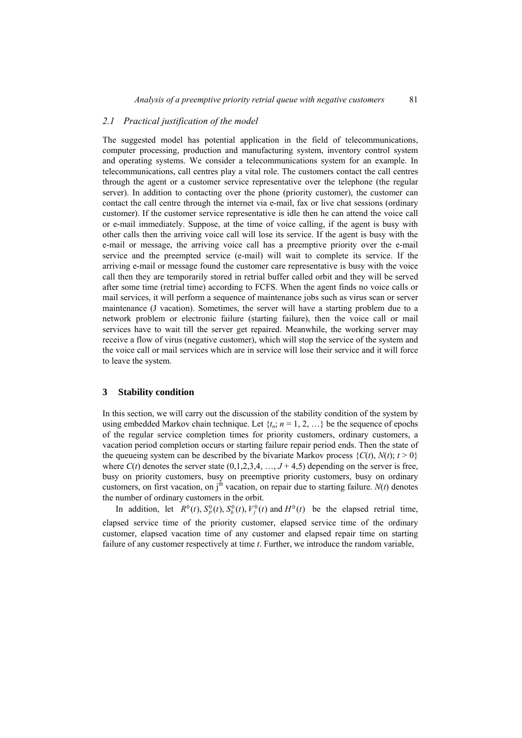#### *2.1 Practical justification of the model*

The suggested model has potential application in the field of telecommunications, computer processing, production and manufacturing system, inventory control system and operating systems. We consider a telecommunications system for an example. In telecommunications, call centres play a vital role. The customers contact the call centres through the agent or a customer service representative over the telephone (the regular server). In addition to contacting over the phone (priority customer), the customer can contact the call centre through the internet via e-mail, fax or live chat sessions (ordinary customer). If the customer service representative is idle then he can attend the voice call or e-mail immediately. Suppose, at the time of voice calling, if the agent is busy with other calls then the arriving voice call will lose its service. If the agent is busy with the e-mail or message, the arriving voice call has a preemptive priority over the e-mail service and the preempted service (e-mail) will wait to complete its service. If the arriving e-mail or message found the customer care representative is busy with the voice call then they are temporarily stored in retrial buffer called orbit and they will be served after some time (retrial time) according to FCFS. When the agent finds no voice calls or mail services, it will perform a sequence of maintenance jobs such as virus scan or server maintenance (J vacation). Sometimes, the server will have a starting problem due to a network problem or electronic failure (starting failure), then the voice call or mail services have to wait till the server get repaired. Meanwhile, the working server may receive a flow of virus (negative customer), which will stop the service of the system and the voice call or mail services which are in service will lose their service and it will force to leave the system.

#### **3 Stability condition**

In this section, we will carry out the discussion of the stability condition of the system by using embedded Markov chain technique. Let  $\{t_n; n = 1, 2, ...\}$  be the sequence of epochs of the regular service completion times for priority customers, ordinary customers, a vacation period completion occurs or starting failure repair period ends. Then the state of the queueing system can be described by the bivariate Markov process  $\{C(t), N(t), t \geq 0\}$ where  $C(t)$  denotes the server state  $(0,1,2,3,4, \ldots, J+4,5)$  depending on the server is free, busy on priority customers, busy on preemptive priority customers, busy on ordinary customers, on first vacation, on  $j<sup>th</sup>$  vacation, on repair due to starting failure.  $N(t)$  denotes the number of ordinary customers in the orbit.

In addition, let  $R^0(t)$ ,  $S_p^0(t)$ ,  $S_h^0(t)$ ,  $V_i^0(t)$  and  $H^0(t)$  be the elapsed retrial time, elapsed service time of the priority customer, elapsed service time of the ordinary customer, elapsed vacation time of any customer and elapsed repair time on starting failure of any customer respectively at time *t*. Further, we introduce the random variable,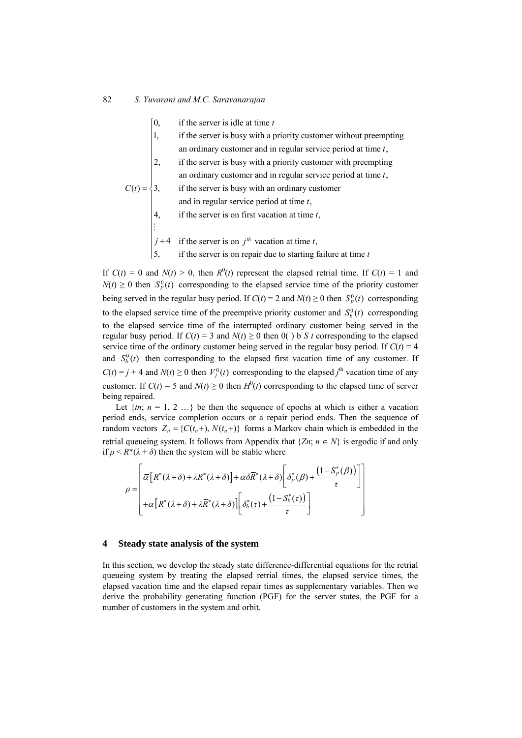|                                       | $\boldsymbol{0}$ | if the server is idle at time $t$                                                                                      |
|---------------------------------------|------------------|------------------------------------------------------------------------------------------------------------------------|
|                                       |                  | if the server is busy with a priority customer without preempting                                                      |
|                                       |                  | an ordinary customer and in regular service period at time $t$ ,                                                       |
|                                       | 2,               | if the server is busy with a priority customer with preempting                                                         |
|                                       |                  | an ordinary customer and in regular service period at time $t$ ,                                                       |
| $C(t) = \begin{cases} 3, \end{cases}$ |                  | if the server is busy with an ordinary customer                                                                        |
|                                       |                  | and in regular service period at time $t$ ,                                                                            |
|                                       | 4,               | if the server is on first vacation at time $t$ ,                                                                       |
|                                       |                  |                                                                                                                        |
|                                       |                  |                                                                                                                        |
|                                       |                  | $j+4$ if the server is on $jth$ vacation at time t,<br>5, if the server is on repair due to starting failure at time t |

If  $C(t) = 0$  and  $N(t) > 0$ , then  $R^0(t)$  represent the elapsed retrial time. If  $C(t) = 1$  and  $N(t) \ge 0$  then  $S_n^0(t)$  corresponding to the elapsed service time of the priority customer being served in the regular busy period. If  $C(t) = 2$  and  $N(t) \ge 0$  then  $S_p^0(t)$  corresponding to the elapsed service time of the preemptive priority customer and  $S_b^0(t)$  corresponding to the elapsed service time of the interrupted ordinary customer being served in the regular busy period. If  $C(t) = 3$  and  $N(t) \ge 0$  then 0() b *S t* corresponding to the elapsed service time of the ordinary customer being served in the regular busy period. If  $C(t) = 4$ and  $S_h^0(t)$  then corresponding to the elapsed first vacation time of any customer. If  $C(t) = j + 4$  and  $N(t) \ge 0$  then  $V_j^0(t)$  corresponding to the elapsed  $j^{\text{th}}$  vacation time of any customer. If  $C(t) = 5$  and  $N(t) \ge 0$  then  $H^0(t)$  corresponding to the elapsed time of server being repaired.

Let  $\{tn; n = 1, 2 \ldots\}$  be then the sequence of epochs at which is either a vacation period ends, service completion occurs or a repair period ends. Then the sequence of random vectors  $Z_n = \{ C(t_n +), N(t_n +) \}$  forms a Markov chain which is embedded in the retrial queueing system. It follows from Appendix that  $\{Zn; n \in N\}$  is ergodic if and only if  $\rho \leq R^*(\lambda + \delta)$  then the system will be stable where

$$
\rho = \left[ \overline{\alpha} \left[ R^*(\lambda + \delta) + \lambda R^*(\lambda + \delta) \right] + \alpha \delta \overline{R}^*(\lambda + \delta) \left[ \delta_p^*(\beta) + \frac{\left( 1 - S_p^*(\beta) \right)}{\tau} \right] + \alpha \left[ R^*(\lambda + \delta) + \lambda \overline{R}^*(\lambda + \delta) \right] \left[ \delta_p^*(\tau) + \frac{\left( 1 - S_p^*(\tau) \right)}{\tau} \right]
$$

#### **4 Steady state analysis of the system**

In this section, we develop the steady state difference-differential equations for the retrial queueing system by treating the elapsed retrial times, the elapsed service times, the elapsed vacation time and the elapsed repair times as supplementary variables. Then we derive the probability generating function (PGF) for the server states, the PGF for a number of customers in the system and orbit.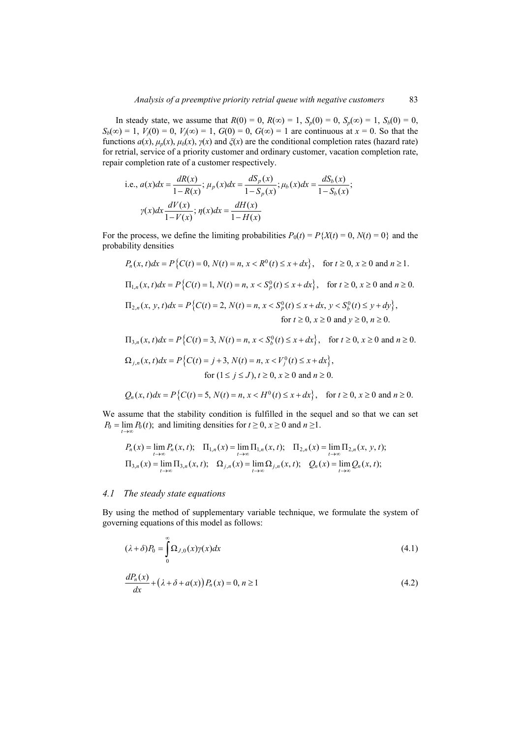In steady state, we assume that  $R(0) = 0$ ,  $R(\infty) = 1$ ,  $S_p(0) = 0$ ,  $S_p(\infty) = 1$ ,  $S_p(0) = 0$ , *S<sub>b</sub>*(∞) = 1, *V<sub>j</sub>*(0) = 0, *V<sub>j</sub>*(∞) = 1, *G*(0) = 0, *G*(∞) = 1 are continuous at *x* = 0. So that the functions  $a(x)$ ,  $\mu_p(x)$ ,  $\mu_b(x)$ ,  $\gamma(x)$  and  $\zeta(x)$  are the conditional completion rates (hazard rate) for retrial, service of a priority customer and ordinary customer, vacation completion rate, repair completion rate of a customer respectively.

i.e., 
$$
a(x)dx = \frac{dR(x)}{1 - R(x)}; \mu_p(x)dx = \frac{dS_p(x)}{1 - S_p(x)}; \mu_b(x)dx = \frac{dS_b(x)}{1 - S_b(x)};
$$
  

$$
\gamma(x)dx \frac{dV(x)}{1 - V(x)}; \eta(x)dx = \frac{dH(x)}{1 - H(x)}
$$

For the process, we define the limiting probabilities  $P_0(t) = P\{X(t) = 0, N(t) = 0\}$  and the probability densities

$$
P_n(x, t)dx = P\{C(t) = 0, N(t) = n, x < R^0(t) \le x + dx\}, \quad \text{for } t \ge 0, x \ge 0 \text{ and } n \ge 1.
$$
\n
$$
\Pi_{1,n}(x, t)dx = P\{C(t) = 1, N(t) = n, x < S_p^0(t) \le x + dx\}, \quad \text{for } t \ge 0, x \ge 0 \text{ and } n \ge 0.
$$
\n
$$
\Pi_{2,n}(x, y, t)dx = P\{C(t) = 2, N(t) = n, x < S_p^0(t) \le x + dx, y < S_p^0(t) \le y + dy\}, \quad \text{for } t \ge 0, x \ge 0 \text{ and } y \ge 0, n \ge 0.
$$
\n
$$
\Pi_{3,n}(x, t)dx = P\{C(t) = 3, N(t) = n, x < S_p^0(t) \le x + dx\}, \quad \text{for } t \ge 0, x \ge 0 \text{ and } n \ge 0.
$$
\n
$$
\Omega_{j,n}(x, t)dx = P\{C(t) = j + 3, N(t) = n, x < V_j^0(t) \le x + dx\},
$$

$$
\text{for } (1 \le j \le J), t \ge 0, x \ge 0 \text{ and } n \ge 0.
$$

$$
Q_n(x, t)dx = P\{C(t) = 5, N(t) = n, x < H^0(t) \le x + dx\}
$$
, for  $t \ge 0, x \ge 0$  and  $n \ge 0$ .

We assume that the stability condition is fulfilled in the sequel and so that we can set  $P_0 = \lim_{t \to \infty} P_0(t)$ ; and limiting densities for  $t \ge 0$ ,  $x \ge 0$  and  $n \ge 1$ .  $t\rightarrow\infty$ 

$$
P_n(x) = \lim_{t \to \infty} P_n(x, t); \quad \Pi_{1,n}(x) = \lim_{t \to \infty} \Pi_{1,n}(x, t); \quad \Pi_{2,n}(x) = \lim_{t \to \infty} \Pi_{2,n}(x, y, t);
$$
  

$$
\Pi_{3,n}(x) = \lim_{t \to \infty} \Pi_{3,n}(x, t); \quad \Omega_{j,n}(x) = \lim_{t \to \infty} \Omega_{j,n}(x, t); \quad Q_n(x) = \lim_{t \to \infty} Q_n(x, t);
$$

# *4.1 The steady state equations*

By using the method of supplementary variable technique, we formulate the system of governing equations of this model as follows:

$$
(\lambda + \delta)P_0 = \int_0^\infty \Omega_{J,0}(x)\gamma(x)dx\tag{4.1}
$$

$$
\frac{dP_n(x)}{dx} + (\lambda + \delta + a(x))P_n(x) = 0, n \ge 1
$$
\n(4.2)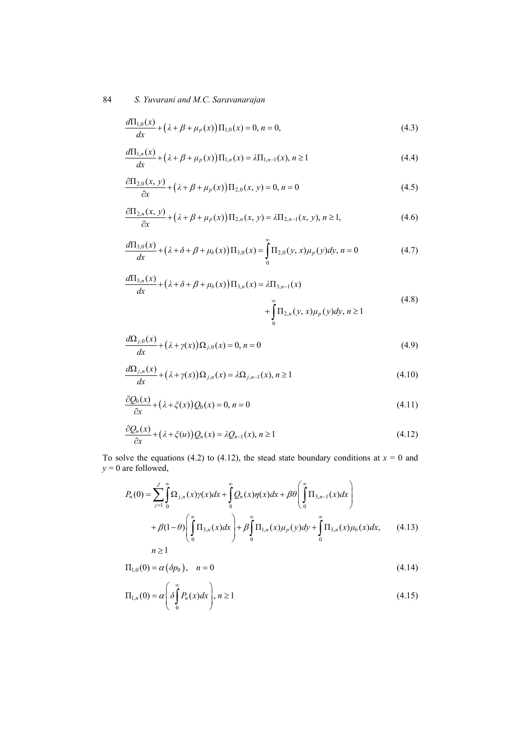$$
\frac{d\Pi_{1,0}(x)}{dx} + (\lambda + \beta + \mu_p(x))\Pi_{1,0}(x) = 0, n = 0,
$$
\n(4.3)

$$
\frac{d\Pi_{1,n}(x)}{dx} + (\lambda + \beta + \mu_p(x))\Pi_{1,n}(x) = \lambda \Pi_{1,n-1}(x), n \ge 1
$$
\n(4.4)

$$
\frac{\partial \Pi_{2,0}(x, y)}{\partial x} + (\lambda + \beta + \mu_p(x)) \Pi_{2,0}(x, y) = 0, n = 0
$$
\n(4.5)

$$
\frac{\partial \Pi_{2,n}(x, y)}{\partial x} + (\lambda + \beta + \mu_p(x)) \Pi_{2,n}(x, y) = \lambda \Pi_{2,n-1}(x, y), n \ge 1,
$$
\n(4.6)

$$
\frac{d\Pi_{3,0}(x)}{dx} + (\lambda + \delta + \beta + \mu_b(x))\Pi_{3,0}(x) = \int_{0}^{\infty} \Pi_{2,0}(y,x)\mu_p(y)dy, n = 0
$$
\n(4.7)

$$
\frac{d\Pi_{3,n}(x)}{dx} + (\lambda + \delta + \beta + \mu_b(x))\Pi_{3,n}(x) = \lambda \Pi_{3,n-1}(x) \n+ \int_{0}^{\infty} \Pi_{2,n}(y, x)\mu_p(y)dy, n \ge 1
$$
\n(4.8)

$$
\frac{d\Omega_{j,0}(x)}{dx} + (\lambda + \gamma(x))\Omega_{j,0}(x) = 0, n = 0
$$
\n(4.9)

$$
\frac{d\Omega_{j,n}(x)}{dx} + (\lambda + \gamma(x))\Omega_{j,n}(x) = \lambda \Omega_{j,n-1}(x), n \ge 1
$$
\n(4.10)

$$
\frac{\partial Q_0(x)}{\partial x} + (\lambda + \xi(x))Q_0(x) = 0, n = 0
$$
\n(4.11)

$$
\frac{\partial Q_n(x)}{\partial x} + (\lambda + \xi(u))Q_n(x) = \lambda Q_{n-1}(x), n \ge 1
$$
\n(4.12)

To solve the equations (4.2) to (4.12), the stead state boundary conditions at  $x = 0$  and  $y = 0$  are followed,

$$
P_n(0) = \sum_{j=1}^J \int_0^{\infty} \Omega_{j,n}(x) \gamma(x) dx + \int_0^{\infty} Q_n(x) \eta(x) dx + \beta \theta \left( \int_0^{\infty} \Pi_{3,n-1}(x) dx \right) + \beta(1-\theta) \left( \int_0^{\infty} \Pi_{3,n}(x) dx \right) + \beta \int_0^{\infty} \Pi_{1,n}(x) \mu_p(y) dy + \int_0^{\infty} \Pi_{3,n}(x) \mu_b(x) dx, \qquad (4.13)
$$
  
 $n \ge 1$ 

$$
\Pi_{1,0}(0) = \alpha \left( \delta p_0 \right), \quad n = 0 \tag{4.14}
$$

$$
\Pi_{1,n}(0) = \alpha \left( \delta \int_{0}^{\infty} P_n(x) dx \right), n \ge 1
$$
\n(4.15)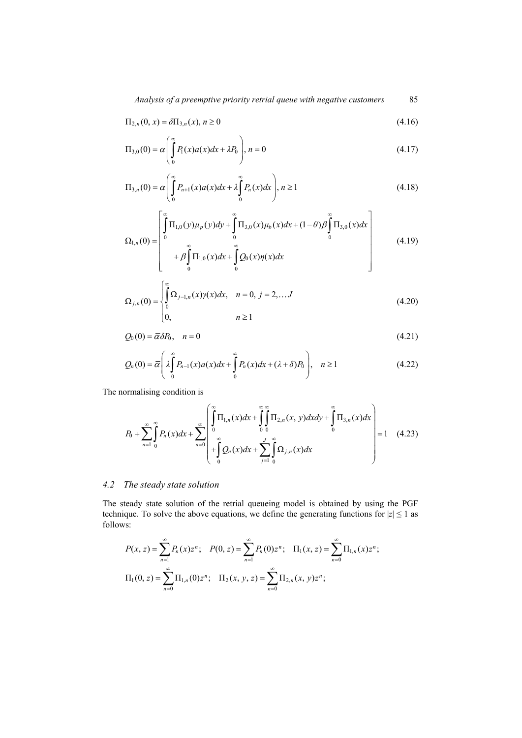*Analysis of a preemptive priority retrial queue with negative customers* 85

$$
\Pi_{2,n}(0,x) = \delta \Pi_{3,n}(x), n \ge 0
$$
\n(4.16)

$$
\Pi_{3,0}(0) = \alpha \left( \int_{0}^{\infty} P_1(x) a(x) dx + \lambda P_0 \right), n = 0 \tag{4.17}
$$

$$
\Pi_{3,n}(0) = \alpha \left( \int_{0}^{\infty} P_{n+1}(x) a(x) dx + \lambda \int_{0}^{\infty} P_n(x) dx \right), n \ge 1
$$
\n(4.18)

$$
\Omega_{1,n}(0) = \begin{bmatrix} \int_{0}^{\infty} \Pi_{1,0}(y) \mu_{p}(y) dy + \int_{0}^{\infty} \Pi_{3,0}(x) \mu_{b}(x) dx + (1-\theta) \beta \int_{0}^{\infty} \Pi_{3,0}(x) dx \\ + \beta \int_{0}^{\infty} \Pi_{1,0}(x) dx + \int_{0}^{\infty} Q_{0}(x) \eta(x) dx \end{bmatrix}
$$
(4.19)

$$
\Omega_{j,n}(0) = \begin{cases} \int_{0}^{\infty} \Omega_{j-1,n}(x) \gamma(x) dx, & n = 0, j = 2,...J \\ 0, & n \ge 1 \end{cases}
$$
 (4.20)

$$
Q_0(0) = \overline{\alpha} \delta P_0, \quad n = 0 \tag{4.21}
$$

$$
Q_n(0) = \overline{\alpha} \left( \lambda \int_0^\infty P_{n-1}(x) a(x) dx + \int_0^\infty P_n(x) dx + (\lambda + \delta) P_0 \right), \quad n \ge 1
$$
\n(4.22)

The normalising condition is

$$
P_0 + \sum_{n=1}^{\infty} \int_{0}^{\infty} P_n(x) dx + \sum_{n=0}^{\infty} \left( \int_{0}^{\infty} \Pi_{1,n}(x) dx + \int_{0}^{\infty} \int_{0}^{\infty} \Pi_{2,n}(x, y) dx dy + \int_{0}^{\infty} \Pi_{3,n}(x) dx \right) = 1 \quad (4.23)
$$

# *4.2 The steady state solution*

The steady state solution of the retrial queueing model is obtained by using the PGF technique. To solve the above equations, we define the generating functions for  $|z| \leq 1$  as follows:

$$
P(x, z) = \sum_{n=1}^{\infty} P_n(x) z^n; \quad P(0, z) = \sum_{n=1}^{\infty} P_n(0) z^n; \quad \Pi_1(x, z) = \sum_{n=0}^{\infty} \Pi_{1,n}(x) z^n;
$$

$$
\Pi_1(0, z) = \sum_{n=0}^{\infty} \Pi_{1,n}(0) z^n; \quad \Pi_2(x, y, z) = \sum_{n=0}^{\infty} \Pi_{2,n}(x, y) z^n;
$$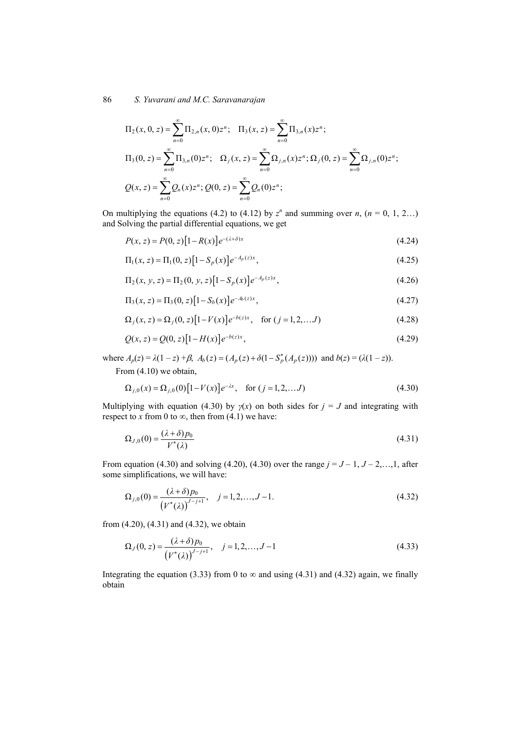$$
\Pi_2(x, 0, z) = \sum_{n=0}^{\infty} \Pi_{2,n}(x, 0) z^n; \quad \Pi_3(x, z) = \sum_{n=0}^{\infty} \Pi_{3,n}(x) z^n;
$$
\n
$$
\Pi_3(0, z) = \sum_{n=0}^{\infty} \Pi_{3,n}(0) z^n; \quad \Omega_j(x, z) = \sum_{n=0}^{\infty} \Omega_{j,n}(x) z^n; \quad \Omega_j(0, z) = \sum_{n=0}^{\infty} \Omega_{j,n}(0) z^n;
$$
\n
$$
Q(x, z) = \sum_{n=0}^{\infty} Q_n(x) z^n; Q(0, z) = \sum_{n=0}^{\infty} Q_n(0) z^n;
$$

On multiplying the equations (4.2) to (4.12) by  $z^n$  and summing over *n*, (*n* = 0, 1, 2...) and Solving the partial differential equations, we get

$$
P(x, z) = P(0, z)[1 - R(x)]e^{-(\lambda + \delta)x}
$$
\n(4.24)

$$
\Pi_1(x, z) = \Pi_1(0, z) \left[ 1 - S_p(x) \right] e^{-A_p(z)x}, \tag{4.25}
$$

$$
\Pi_2(x, y, z) = \Pi_2(0, y, z) \left[ 1 - S_p(x) \right] e^{-A_p(z)x}, \tag{4.26}
$$

$$
\Pi_3(x, z) = \Pi_3(0, z) \left[ 1 - S_b(x) \right] e^{-A_b(z)x}, \tag{4.27}
$$

$$
\Omega_j(x, z) = \Omega_j(0, z)[1 - V(x)]e^{-b(z)x}, \text{ for } (j = 1, 2, \dots, J)
$$
\n(4.28)

$$
Q(x, z) = Q(0, z)[1 - H(x)]e^{-b(z)x},
$$
\n(4.29)

where  $A_p(z) = \lambda(1 - z) + \beta$ ,  $A_b(z) = (A_p(z) + \delta(1 - S_p^*(A_p(z))))$  and  $b(z) = (\lambda(1 - z))$ .

From (4.10) we obtain,

$$
\Omega_{j,0}(x) = \Omega_{j,0}(0)[1 - V(x)]e^{-\lambda x}, \text{ for } (j = 1, 2, \dots J)
$$
\n(4.30)

Multiplying with equation (4.30) by  $\gamma(x)$  on both sides for  $j = J$  and integrating with respect to *x* from 0 to  $\infty$ , then from (4.1) we have:

$$
\Omega_{J,0}(0) = \frac{(\lambda + \delta)p_0}{V^*(\lambda)}
$$
\n(4.31)

From equation (4.30) and solving (4.20), (4.30) over the range  $j = J - 1, J - 2, ..., 1$ , after some simplifications, we will have:

$$
\Omega_{j,0}(0) = \frac{(\lambda + \delta)p_0}{\left(V^*(\lambda)\right)^{J-j+1}}, \quad j = 1, 2, ..., J-1.
$$
\n(4.32)

from (4.20), (4.31) and (4.32), we obtain

$$
\Omega_J(0, z) = \frac{(\lambda + \delta) p_0}{\left(V^*(\lambda)\right)^{J-j+1}}, \quad j = 1, 2, ..., J-1
$$
\n(4.33)

Integrating the equation (3.33) from 0 to  $\infty$  and using (4.31) and (4.32) again, we finally obtain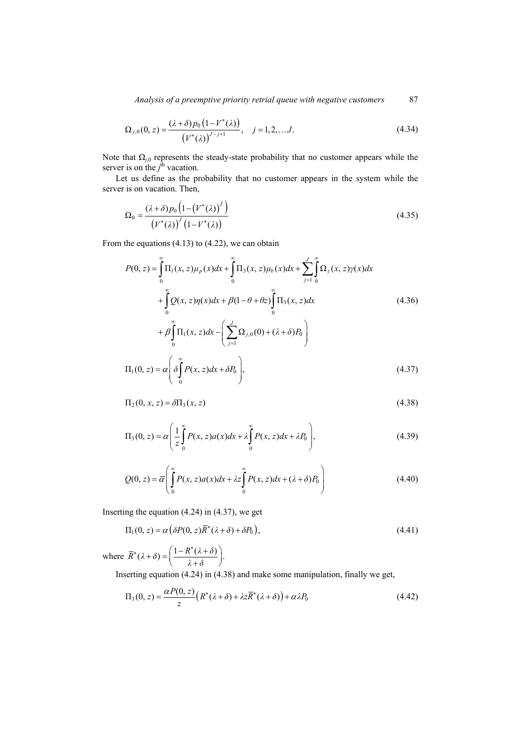*Analysis of a preemptive priority retrial queue with negative customers* 87

$$
\Omega_{j,0}(0,z) = \frac{(\lambda + \delta) p_0 (1 - V^*(\lambda))}{(V^*(\lambda))^{J-j+1}}, \quad j = 1, 2, \dots J.
$$
\n(4.34)

Note that  $\Omega_{j,0}$  represents the steady-state probability that no customer appears while the server is on the  $j^{\text{th}}$  vacation.

Let us define as the probability that no customer appears in the system while the server is on vacation. Then,

$$
\Omega_0 = \frac{(\lambda + \delta) p_0 \left(1 - \left(V^*(\lambda)\right)^J\right)}{\left(V^*(\lambda)\right)^J \left(1 - V^*(\lambda)\right)}
$$
\n(4.35)

From the equations (4.13) to (4.22), we can obtain

$$
P(0, z) = \int_{0}^{\infty} \Pi_{1}(x, z) \mu_{p}(x) dx + \int_{0}^{\infty} \Pi_{3}(x, z) \mu_{b}(x) dx + \sum_{j=1}^{J} \int_{0}^{\infty} \Omega_{j}(x, z) \gamma(x) dx
$$
  
+ 
$$
\int_{0}^{\infty} Q(x, z) \eta(x) dx + \beta(1 - \theta + \theta z) \int_{0}^{\infty} \Pi_{3}(x, z) dx
$$
  
+ 
$$
\beta \int_{0}^{\infty} \Pi_{1}(x, z) dx - \left( \sum_{j=1}^{J} \Omega_{j,0}(0) + (\lambda + \delta) P_{0} \right)
$$
  

$$
\Pi_{1}(0, z) = \alpha \left( \delta \int_{0}^{\infty} P(x, z) dx + \delta P_{0} \right),
$$
 (4.37)

$$
\Pi_2(0, x, z) = \delta \Pi_3(x, z) \tag{4.38}
$$

$$
\Pi_3(0, z) = \alpha \left( \frac{1}{z} \int_0^\infty P(x, z) a(x) dx + \lambda \int_0^\infty P(x, z) dx + \lambda P_0 \right),\tag{4.39}
$$

$$
Q(0, z) = \overline{\alpha} \left( \int_{0}^{\infty} P(x, z) a(x) dx + \lambda z \int_{0}^{\infty} P(x, z) dx + (\lambda + \delta) P_0 \right)
$$
(4.40)

Inserting the equation  $(4.24)$  in  $(4.37)$ , we get

$$
\Pi_1(0, z) = \alpha \left( \delta P(0, z) \overline{R}^* (\lambda + \delta) + \delta P_0 \right),\tag{4.41}
$$

where  $\overline{R}^*(\lambda + \delta) = \left(\frac{1 - R^*(\lambda + \delta)}{\lambda + \delta}\right)$ .  $(\theta + \delta) = \left( \frac{1 - R^*(\lambda + \delta)}{\lambda + \delta} \right)$ 

Inserting equation (4.24) in (4.38) and make some manipulation, finally we get,

$$
\Pi_3(0, z) = \frac{\alpha P(0, z)}{z} \left( R^*(\lambda + \delta) + \lambda z \overline{R}^*(\lambda + \delta) \right) + \alpha \lambda P_0 \tag{4.42}
$$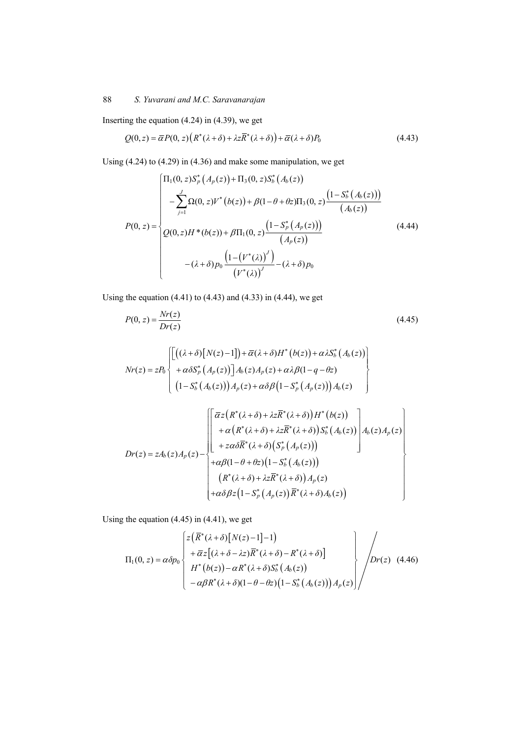Inserting the equation  $(4.24)$  in  $(4.39)$ , we get

$$
Q(0, z) = \overline{\alpha} P(0, z) \left( R^*(\lambda + \delta) + \lambda z \overline{R}^*(\lambda + \delta) \right) + \overline{\alpha} (\lambda + \delta) P_0 \tag{4.43}
$$

Using (4.24) to (4.29) in (4.36) and make some manipulation, we get

$$
P(0, z) = \begin{cases} \Pi_1(0, z) S_p^* \left( A_p(z) \right) + \Pi_3(0, z) S_b^* \left( A_b(z) \right) \\ - \sum_{j=1}^J \Omega(0, z) V^* \left( b(z) \right) + \beta(1 - \theta + \theta z) \Pi_3(0, z) \frac{\left( 1 - S_b^* \left( A_b(z) \right) \right)}{\left( A_b(z) \right)} \\ Q(0, z) H^* \left( b(z) \right) + \beta \Pi_1(0, z) \frac{\left( 1 - S_p^* \left( A_p(z) \right) \right)}{\left( A_p(z) \right)} \\ - (\lambda + \delta) p_0 \frac{\left( 1 - \left( V^* (\lambda) \right)' \right)}{\left( V^* (\lambda) \right)'} - (\lambda + \delta) p_0 \end{cases} \tag{4.44}
$$

Using the equation  $(4.41)$  to  $(4.43)$  and  $(4.33)$  in  $(4.44)$ , we get

$$
P(0, z) = \frac{Nr(z)}{Dr(z)}
$$
\n
$$
(4.45)
$$

$$
Nr(z) = zP_0 \begin{cases} \left[ \left( (\lambda + \delta) \left[ N(z) - 1 \right] \right) + \overline{\alpha} (\lambda + \delta) H^* \left( b(z) \right) + \alpha \lambda S_b^* \left( A_b(z) \right) \right] \\ + \alpha \delta S_p^* \left( A_p(z) \right) \right] A_b(z) A_p(z) + \alpha \lambda \beta (1 - q - \theta z) \\ \left( 1 - S_b^* \left( A_b(z) \right) \right) A_p(z) + \alpha \delta \beta \left( 1 - S_p^* \left( A_p(z) \right) \right) A_b(z) \end{cases}
$$

$$
Dr(z) = zA_b(z)A_p(z) - \begin{cases} \bar{\alpha}z(R^*(\lambda + \delta) + \lambda z\bar{R}^*(\lambda + \delta))H^*(b(z)) \\ + \alpha (R^*(\lambda + \delta) + \lambda z\bar{R}^*(\lambda + \delta))S_b^*(A_b(z)) \\ + z\alpha\delta\bar{R}^*(\lambda + \delta)(S_p^*(A_p(z))) \\ + \alpha\beta(1 - \theta + \theta z)(1 - S_b^*(A_b(z))) \\ (R^*(\lambda + \delta) + \lambda z\bar{R}^*(\lambda + \delta))A_p(z) \\ + \alpha\delta\beta z(1 - S_p^*(A_p(z))\bar{R}^*(\lambda + \delta)A_b(z)) \end{cases}
$$

Using the equation (4.45) in (4.41), we get

$$
\Pi_1(0, z) = \alpha \delta p_0 \begin{cases} z(\overline{R}^*(\lambda + \delta) [N(z) - 1] - 1) \\ + \overline{\alpha} z [(\lambda + \delta - \lambda z) \overline{R}^*(\lambda + \delta) - R^*(\lambda + \delta)] \\ H^*(b(z)) - \alpha R^*(\lambda + \delta) S_b^*(A_b(z)) \\ - \alpha \beta R^*(\lambda + \delta) (1 - \theta - \theta z) (1 - S_b^*(A_b(z))) A_p(z) \end{cases} / Dr(z) \quad (4.46)
$$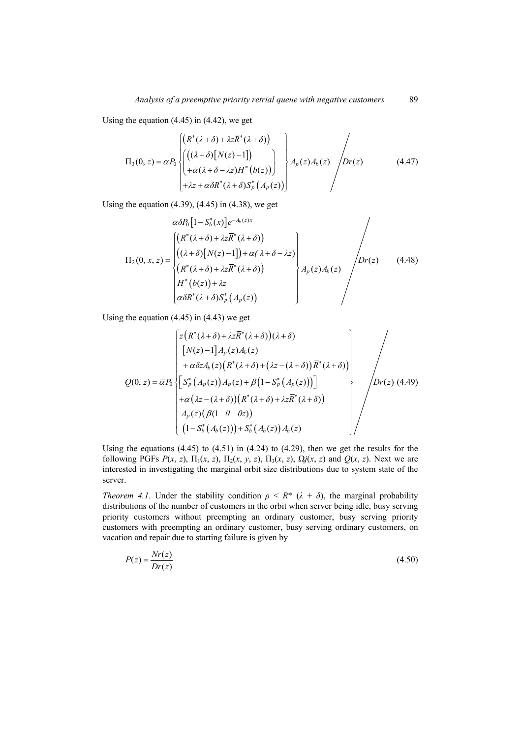Using the equation (4.45) in (4.42), we get

$$
\Pi_{3}(0, z) = \alpha P_{0} \begin{cases}\n\left( \left( ( \lambda + \delta ) + \lambda z \overline{R}^{*} (\lambda + \delta ) \right) \\
\left( \left( ( \lambda + \delta ) \left[ N(z) - 1 \right] \right) \\
+ \overline{\alpha} (\lambda + \delta - \lambda z) H^{*} (b(z)) \right) \\
+ \lambda z + \alpha \delta R^{*} (\lambda + \delta) S_{p}^{*} (A_{p}(z))\n\end{cases} A_{p}(z) A_{b}(z) \qquad (4.47)
$$

Using the equation  $(4.39)$ ,  $(4.45)$  in  $(4.38)$ , we get

$$
\alpha \delta P_0 \left[ 1 - S_b^*(x) \right] e^{-A_b(z)x}
$$
\n
$$
\Pi_2(0, x, z) = \begin{cases}\n\left( \left( \lambda + \delta \right) + \lambda z \overline{R}^*(\lambda + \delta) \right) & \text{if } \lambda \neq 0 \\
\left( (\lambda + \delta) \left[ N(z) - 1 \right] \right) + \alpha (\lambda + \delta - \lambda z) & \text{if } \lambda \neq 0 \\
\left( \left( \lambda + \delta \right) \left[ N(z) - 1 \right] \right) + \alpha \left( \lambda + \delta - \lambda z \right) & \text{if } \lambda \neq 0 \\
\left( \left( \lambda + \delta \right) + \lambda z \overline{R}^*(\lambda + \delta) \right) & \text{if } \lambda \neq 0 \\
\alpha \delta R^*(\lambda + \delta) S_p^*(A_p(z)) & \text{if } \lambda \neq 0\n\end{cases}
$$
\n
$$
(4.48)
$$

Using the equation (4.45) in (4.43) we get

$$
Q(0, z) = \overline{\alpha} P_0 \begin{cases} z(R^*(\lambda + \delta) + \lambda z \overline{R}^*(\lambda + \delta))(\lambda + \delta) \\ [N(z) - 1] A_p(z) A_b(z) \\ + \alpha \delta z A_b(z) (R^*(\lambda + \delta) + (\lambda z - (\lambda + \delta)) \overline{R}^*(\lambda + \delta)) \\ \Big[ S_p^*(A_p(z)) A_p(z) + \beta (1 - S_p^*(A_p(z))) \Big] \\ + \alpha (\lambda z - (\lambda + \delta)) (R^*(\lambda + \delta) + \lambda z \overline{R}^*(\lambda + \delta)) \\ A_p(z) (\beta (1 - \theta - \theta z)) \\ (1 - S_b^*(A_b(z))) + S_b^*(A_b(z)) A_b(z) \end{cases}
$$

Using the equations  $(4.45)$  to  $(4.51)$  in  $(4.24)$  to  $(4.29)$ , then we get the results for the following PGFs  $P(x, z)$ ,  $\Pi_1(x, z)$ ,  $\Pi_2(x, y, z)$ ,  $\Pi_3(x, z)$ ,  $\Omega j(x, z)$  and  $Q(x, z)$ . Next we are interested in investigating the marginal orbit size distributions due to system state of the server.

*Theorem 4.1*. Under the stability condition  $\rho \leq R^*$  ( $\lambda + \delta$ ), the marginal probability distributions of the number of customers in the orbit when server being idle, busy serving priority customers without preempting an ordinary customer, busy serving priority customers with preempting an ordinary customer, busy serving ordinary customers, on vacation and repair due to starting failure is given by

$$
P(z) = \frac{Nr(z)}{Dr(z)}
$$
(4.50)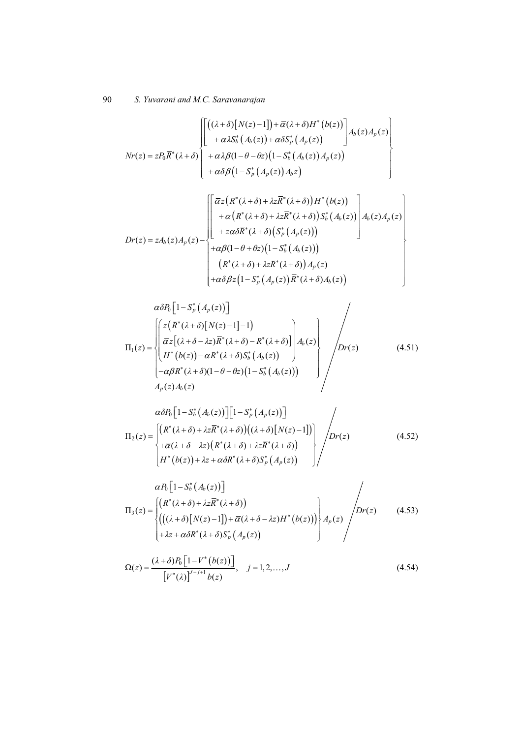$$
Nr(z) = zP_0\overline{R}^*(\lambda + \delta)\begin{bmatrix}\n\left[\left((\lambda + \delta)[N(z) - 1]\right) + \overline{\alpha}(\lambda + \delta)H^*(b(z)) \\
+\alpha\lambda S_b^*(A_b(z)) + \alpha\delta S_p^*(A_p(z))\n\end{bmatrix} A_b(z)A_p(z)\n+ \alpha\lambda\beta(1 - \theta - \theta z)(1 - S_b^*(A_b(z))A_p(z))\n+ \alpha\delta\beta(1 - S_p^*(A_p(z))A_b z)
$$

$$
Dr(z) = zA_b(z)A_p(z) - \begin{bmatrix} \overline{\alpha}z(R^*(\lambda + \delta) + \lambda z\overline{R}^*(\lambda + \delta))H^*(b(z)) \\ + \alpha (R^*(\lambda + \delta) + \lambda z\overline{R}^*(\lambda + \delta))S_b^*(A_b(z)) \\ + z\alpha \delta \overline{R}^*(\lambda + \delta)(S_p^*(A_p(z))) \\ + \alpha \beta (1 - \theta + \theta z)(1 - S_b^*(A_b(z))) \\ (R^*(\lambda + \delta) + \lambda z\overline{R}^*(\lambda + \delta))A_p(z) \\ + \alpha \delta \beta z(1 - S_p^*(A_p(z))\overline{R}^*(\lambda + \delta)A_b(z)) \end{bmatrix}
$$

$$
\alpha \delta P_0 \left[ 1 - S_p^* \left( A_p(z) \right) \right]
$$
\n
$$
\Pi_1(z) = \begin{cases}\n \begin{cases}\n z \left( \overline{R}^* (\lambda + \delta) [N(z) - 1] - 1 \right) \\
 \overline{\alpha} z [( \lambda + \delta - \lambda z) \overline{R}^* (\lambda + \delta) - R^* (\lambda + \delta) \right] \\
 H^* (b(z)) - \alpha R^* (\lambda + \delta) S_b^* \left( A_b(z) \right)\n \end{cases} & \text{if } \Delta P(z) \\
 - \alpha \beta R^* (\lambda + \delta) (1 - \theta - \theta z) (1 - S_b^* \left( A_b(z) \right))\n \end{cases} & \text{if } \Delta P(z) \tag{4.51}
$$

$$
\alpha \delta P_0 \left[ 1 - S_b^* \left( A_b(z) \right) \right] \left[ 1 - S_p^* \left( A_p(z) \right) \right]
$$
\n
$$
\Pi_2(z) = \begin{cases}\n \left( R^* (\lambda + \delta) + \lambda z \overline{R}^* (\lambda + \delta) \right) \left( (\lambda + \delta) \left[ N(z) - 1 \right] \right) \\
 + \overline{\alpha} (\lambda + \delta - \lambda z) \left( R^* (\lambda + \delta) + \lambda z \overline{R}^* (\lambda + \delta) \right) \\
 H^* (b(z)) + \lambda z + \alpha \delta R^* (\lambda + \delta) S_p^* \left( A_p(z) \right)\n \end{cases}
$$
\n
$$
(4.52)
$$

$$
\alpha P_0 \left[ 1 - S_b^* \left( A_b(z) \right) \right]
$$
  
\n
$$
\Pi_3(z) = \left\{ \begin{aligned} & \left( \left( R^* (\lambda + \delta) + \lambda z \overline{R}^* (\lambda + \delta) \right) \\ & \left( \left( (\lambda + \delta) \left[ N(z) - 1 \right] \right) + \overline{\alpha} (\lambda + \delta - \lambda z) H^* \left( b(z) \right) \right) \right\} A_p(z) \\ & + \lambda z + \alpha \delta R^* (\lambda + \delta) S_p^* \left( A_p(z) \right) \end{aligned} \right\} A_p(z) \qquad (4.53)
$$

$$
\Omega(z) = \frac{(\lambda + \delta)P_0 \left[1 - V^*(b(z))\right]}{\left[V^*(\lambda)\right]^{J-j+1} b(z)}, \quad j = 1, 2, ..., J
$$
\n(4.54)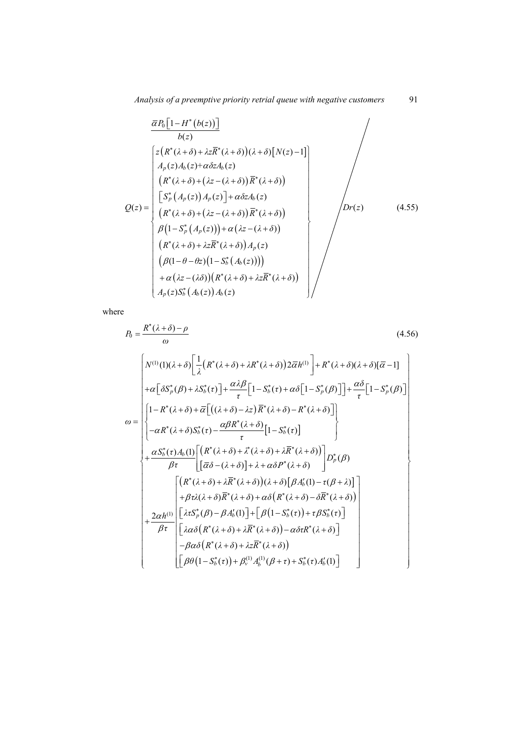$$
\frac{\overline{\alpha}P_0[1-H^*(b(z))]}{b(z)}
$$
\n
$$
\begin{bmatrix}\nz\left(R^*(\lambda+\delta)+\lambda z\overline{R}^*(\lambda+\delta)\right)(\lambda+\delta)[N(z)-1] \\
A_p(z)A_b(z)+\alpha\delta zA_b(z) \\
\left(R^*(\lambda+\delta)+(\lambda z-(\lambda+\delta))\overline{R}^*(\lambda+\delta)\right) \\
\left[S_p^*\left(A_p(z)\right)A_p(z)\right]+\alpha\delta zA_b(z) \\
\left(R^*(\lambda+\delta)+(\lambda z-(\lambda+\delta))\overline{R}^*(\lambda+\delta)\right) \\
\beta\left(1-S_p^*\left(A_p(z)\right)\right)+\alpha\left(\lambda z-(\lambda+\delta)\right) \\
\left(R^*(\lambda+\delta)+\lambda z\overline{R}^*(\lambda+\delta)\right)A_p(z) \\
\left(\beta(1-\theta-\theta z)\left(1-S_b^*(A_b(z))\right)\right) \\
+\alpha\left(\lambda z-(\lambda\delta)\right)\left(R^*(\lambda+\delta)+\lambda z\overline{R}^*(\lambda+\delta)\right) \\
A_p(z)S_b^*(A_b(z))A_b(z)\n\end{bmatrix}
$$
\n(4.55)

where

$$
P_0 = \frac{R^*(\lambda + \delta) - \rho}{\omega}
$$
\n
$$
(4.56)
$$
\n
$$
\omega = \begin{bmatrix}\n\sqrt{(\cdot)}(1)(\lambda + \delta)\left[\frac{1}{\lambda}\left(R^*(\lambda + \delta) + \lambda R^*(\lambda + \delta)\right)2\overline{\alpha}h^{(1)}\right] + R^*(\lambda + \delta)(\lambda + \delta)[\overline{\alpha} - 1] \\
+\alpha\left[\delta S_p^*(\beta) + \lambda S_b^*(\tau)\right] + \frac{\alpha\lambda\beta}{\tau}\left[1 - S_b^*(\tau) + \alpha\delta\left[1 - S_p^*(\beta)\right]\right] + \frac{\alpha\delta}{\tau}\left[1 - S_p^*(\beta)\right] \\
\left[-R^*(\lambda + \delta) + \overline{\alpha}\left[\left((\lambda + \delta) - \lambda z\right)\overline{R}^*(\lambda + \delta) - R^*(\lambda + \delta)\right]\right] \\
-\alpha R^*(\lambda + \delta)S_b^*(\tau) - \frac{\alpha\beta R^*(\lambda + \delta)}{\tau}\left[1 - S_b^*(\tau)\right] \\
+\frac{\alpha S_b^*(\tau)A_b(1)}{\beta\tau}\left[\left(R^*(\lambda + \delta) + \lambda^*(\lambda + \delta) + \lambda \overline{R}^*(\lambda + \delta)\right) - \beta\left(\beta\right)\right] \\
\left[-\left(R^*(\lambda + \delta) + \lambda \overline{R}^*(\lambda + \delta)\right)(\lambda + \delta)\left[\beta A_b^*(1) - \tau(\beta + \lambda)\right]\right] \\
+\beta\tau\lambda(\lambda + \delta)\overline{R}^*(\lambda + \delta) + \alpha\delta\left(R^*(\lambda + \delta) - \delta\overline{R}^*(\lambda + \delta)\right) \\
\left[-\lambda\alpha\delta\left(R^*(\lambda + \delta) + \lambda \overline{R}^*(\lambda + \delta)\right) - \alpha\delta\tau R^*(\lambda + \delta)\right] \\
-\beta\alpha\delta\left(R^*(\lambda + \delta) + \lambda \overline{R}^*(\lambda + \delta)\right) \\
\left[-\beta\theta(1 - S_b^*(\tau)) + \beta S_b^*(\tau) + S_b^*(\tau)A_b^*(1)\right]\n\end{bmatrix}
$$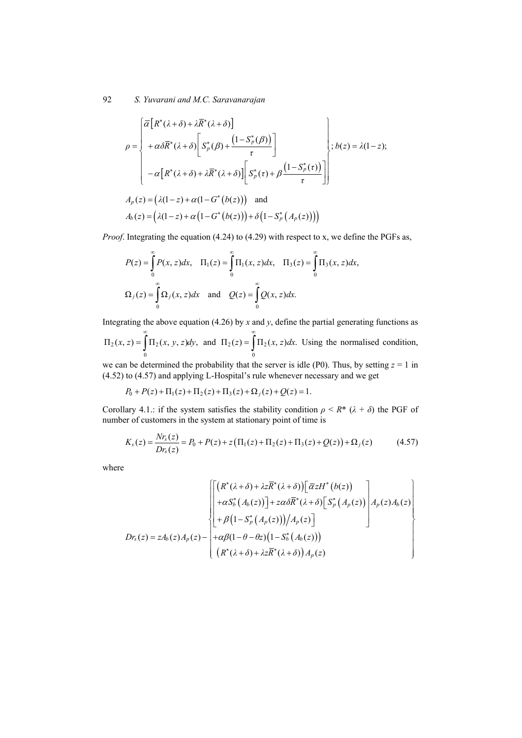$$
\rho = \begin{cases}\n\overline{\alpha} \left[ R^*(\lambda + \delta) + \lambda \overline{R}^*(\lambda + \delta) \right] \\
+ \alpha \delta \overline{R}^*(\lambda + \delta) \left[ S_p^*(\beta) + \frac{(1 - S_p^*(\beta))}{\tau} \right] \\
- \alpha \left[ R^*(\lambda + \delta) + \lambda \overline{R}^*(\lambda + \delta) \right] \left[ S_p^*(\tau) + \beta \frac{(1 - S_p^*(\tau))}{\tau} \right]\n\end{cases}; b(z) = \lambda(1 - z);
$$
\n
$$
A_p(z) = (\lambda(1 - z) + \alpha(1 - G^*(b(z))) \text{ and }
$$
\n
$$
A_b(z) = (\lambda(1 - z) + \alpha(1 - G^*(b(z))) + \delta(1 - S_p^*(A_p(z))))
$$

*Proof.* Integrating the equation (4.24) to (4.29) with respect to x, we define the PGFs as,

$$
P(z) = \int_{0}^{\infty} P(x, z) dx, \quad \Pi_1(z) = \int_{0}^{\infty} \Pi_1(x, z) dx, \quad \Pi_3(z) = \int_{0}^{\infty} \Pi_3(x, z) dx,
$$

$$
\Omega_j(z) = \int_{0}^{\infty} \Omega_j(x, z) dx \quad \text{and} \quad Q(z) = \int_{0}^{\infty} Q(x, z) dx.
$$

Integrating the above equation (4.26) by *x* and *y*, define the partial generating functions as  $2(x, z) = \prod_{1 \leq z}$ 0  $\Pi_2(x, z) = \prod_2(x, y, z)dy,$ ∞  $=\int_{0} \Pi_{2}(x, y, z) dy$ , and  $\Pi_{2}(z) = \int_{0} \Pi_{2}$  $\Pi_2(z) = \prod_2(x, z) dx$ . ∞  $=\int \Pi_2(x, z) dx$ . Using the normalised condition,

we can be determined the probability that the server is idle (P0). Thus, by setting  $z = 1$  in (4.52) to (4.57) and applying L-Hospital's rule whenever necessary and we get

$$
P_0 + P(z) + \Pi_1(z) + \Pi_2(z) + \Pi_3(z) + \Omega_j(z) + Q(z) = 1.
$$

Corollary 4.1.: if the system satisfies the stability condition  $\rho \leq R^*$  ( $\lambda + \delta$ ) the PGF of number of customers in the system at stationary point of time is

$$
K_s(z) = \frac{Nr_s(z)}{Dr_s(z)} = P_0 + P(z) + z(\Pi_1(z) + \Pi_2(z) + \Pi_3(z) + Q(z)) + \Omega_j(z)
$$
(4.57)

where

$$
Dr_{s}(z) = zA_{b}(z)A_{p}(z) - \begin{bmatrix} \left[ \left( R^{*}(\lambda + \delta) + \lambda z \overline{R}^{*}(\lambda + \delta) \right) \left[ \overline{\alpha} z H^{*}(\overline{b}(z)) \right] \\ + \alpha S_{b}^{*}(\overline{A}_{b}(z)) \right] + z \alpha \delta \overline{R}^{*}(\lambda + \delta) \left[ S_{p}^{*}(\overline{A}_{p}(z)) \right] A_{p}(z) A_{b}(z) \\ + \beta \left( 1 - S_{p}^{*}(\overline{A}_{p}(z)) \right) / A_{p}(z) \end{bmatrix}
$$
  

$$
Dr_{s}(z) = zA_{b}(z)A_{p}(z) - \begin{bmatrix} + \alpha \beta (1 - \theta - \theta z) \left( 1 - S_{b}^{*}(\overline{A}_{b}(z)) \right) \\ + \alpha \beta (1 - \theta - \theta z) \left( 1 - S_{b}^{*}(\overline{A}_{b}(z)) \right) \\ \left( R^{*}(\lambda + \delta) + \lambda z \overline{R}^{*}(\lambda + \delta) \right) A_{p}(z) \end{bmatrix}
$$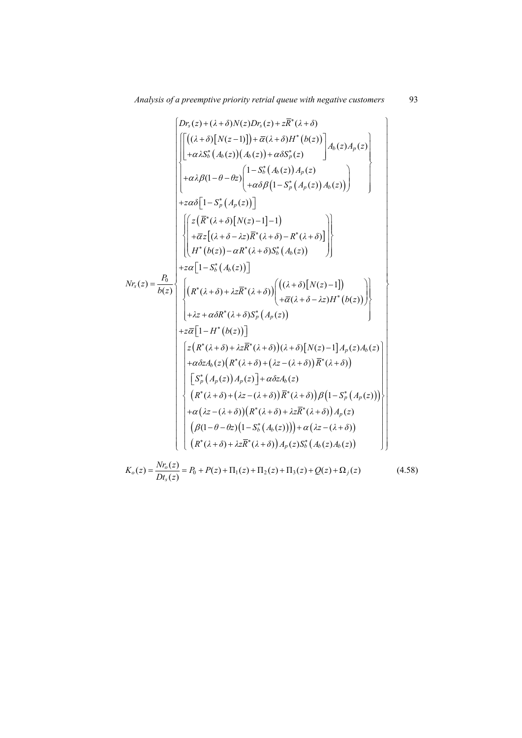$$
D_{15}(z) + (\lambda + \delta)N(z)D_{15}(z) + z\overline{R}^{*}(\lambda + \delta)
$$
\n
$$
\begin{bmatrix}\n\left[\left((\lambda + \delta)[N(z-1)]\right) + \overline{\alpha}(\lambda + \delta)H^{*}(b(z))\right]A_{b}(z)A_{p}(z) \\
+\alpha\lambda S_{b}^{*}(A_{b}(z))(A_{b}(z)) + \alpha\delta S_{p}^{*}(z)\n\end{bmatrix}A_{b}(z)A_{p}(z) \\
+\alpha\lambda\beta(1-\theta-\theta z)\begin{bmatrix}\n1-S_{b}^{*}(A_{b}(z))A_{p}(z) \\
+\alpha\delta\beta(1-S_{p}^{*}(A_{p}(z))A_{p}(z)\n\end{bmatrix} \\
+ z\alpha\delta\left[1-S_{p}^{*}(A_{p}(z))\right]\n\begin{bmatrix}\nz\left(\overline{R}^{*}(\lambda + \delta)[N(z)-1]-1\right) \\
+\overline{\alpha}z\left[(\lambda + \delta - \lambda z)\overline{R}^{*}(\lambda + \delta)-R^{*}(\lambda + \delta)\right] \\
H^{*}(b(z)) - \alpha R^{*}(\lambda + \delta)S_{b}^{*}(A_{b}(z))\n\end{bmatrix} \\
Nr_{5}(z) = \frac{P_{0}}{b(z)}\n\begin{bmatrix}\n\left[\left(R^{*}(\lambda + \delta) + \lambda z\overline{R}^{*}(\lambda + \delta)\right)\left(\frac{((\lambda + \delta)[N(z)-1]}{(\lambda + \overline{\alpha}(\lambda + \delta - \lambda z)H^{*}(b(z))}\right)\right] \\
+ z\overline{\alpha}\left[1-H^{*}(b(z))\right]\n\end{bmatrix} \\
+ z\overline{\alpha}\left[1-H^{*}(b(z))\right]\n\begin{bmatrix}\nz\left(R^{*}(\lambda + \delta) + \lambda z\overline{R}^{*}(\lambda + \delta)\right)(\lambda + \delta)[N(z)-1]A_{p}(z)A_{b}(z) \\
+\alpha\delta zA_{b}(z)(R^{*}(\lambda + \delta) + (\lambda z - (\lambda + \delta))\overline{R}^{*}(\lambda + \delta)) \\
\left[\frac{S_{p}^{*}(A_{p}(z))A_{p}(z)\right] + \alpha\delta zA_{b}(z) \\
\left[\left(R^{*}(\lambda + \delta) + (\lambda z - (\lambda + \delta))\overline{R}^{*}(\lambda + \delta)\right)A_{p}(z) \\
\left
$$

$$
f_{\rm{max}}
$$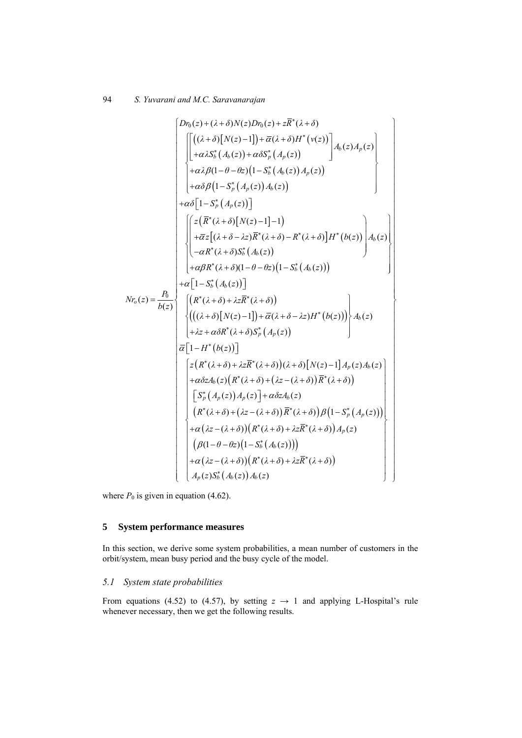$$
\begin{bmatrix}\nD_{r_{0}}(z) + (\lambda + \delta)N(z)D_{r_{0}}(z) + z\overline{R}^{*}( \lambda + \delta) \\
\begin{bmatrix}\n[(\lambda + \delta)[N(z) - 1]] + \overline{\alpha}(\lambda + \delta)H^{*}(v(z)) \\
+\alpha \lambda S_{b}^{*}(A_{b}(z)) + \alpha \delta S_{p}^{*}(A_{p}(z))\n\end{bmatrix}A_{b}(z)A_{p}(z) \\
+ \alpha \lambda \beta(1 - \theta - \theta z)(1 - S_{b}^{*}(A_{b}(z))A_{p}(z)) \\
+ \alpha \delta \beta(1 - S_{p}^{*}(A_{p}(z))\n\end{bmatrix}A_{b}(z) + \alpha \delta \beta(1 - S_{p}^{*}(A_{p}(z))\n\begin{bmatrix}\nz(\overline{R}^{*}(\lambda + \delta)[N(z) - 1] - 1) \\
+\overline{\alpha}z[(\lambda + \delta - \lambda z)\overline{R}^{*}(\lambda + \delta) - R^{*}(\lambda + \delta)]H^{*}(b(z)) \\
-\alpha R^{*}(\lambda + \delta)S_{b}^{*}(A_{b}(z))\n\end{bmatrix}A_{b}(z) \\
N_{r_{0}}(z) = \frac{P_{0}}{b(z)}\n\begin{bmatrix}\n[\alpha^{*}(\lambda + \delta)[N(z) - 1]] + \overline{\alpha}(\lambda + \delta - \lambda z)H^{*}(b(z)) \\
+(\lambda + \beta)R^{*}(\lambda + \delta)(1 - \theta - \theta z)(1 - S_{b}^{*}(A_{b}(z)))] \\
\alpha[1 - H^{*}(b(z))\n\end{bmatrix}A_{b}(z) \\
\overline{\alpha[1 - H^{*}(b(z))]} \\
\overline{\alpha[1 - H^{*}(b(z))]} \\
\overline{\alpha[1 - H^{*}(b(z))]} \\
\overline{\alpha[2(R^{*}(\lambda + \delta) + \lambda z\overline{R}^{*}(\lambda + \delta))(\lambda + \delta)[N(z) - 1]A_{p}(z)A_{b}(z) \\
+\lambda z + \alpha \delta R^{*}(\lambda + \delta)S_{p}^{*}(A_{p}(z))\n\end{bmatrix}A_{p}(z) + \alpha \delta z A_{b}(z)A_{p}(z) + \alpha \delta z A_{b}(z)A_{p}(z)A_{p}(z)A_{p}(z)A_{p}(z) + \alpha \delta z A_{p}(z)A_{p}(z)A_{p}(z)A_{p}(
$$

where  $P_0$  is given in equation (4.62).

# **5 System performance measures**

In this section, we derive some system probabilities, a mean number of customers in the orbit/system, mean busy period and the busy cycle of the model.

# *5.1 System state probabilities*

From equations (4.52) to (4.57), by setting  $z \rightarrow 1$  and applying L-Hospital's rule whenever necessary, then we get the following results.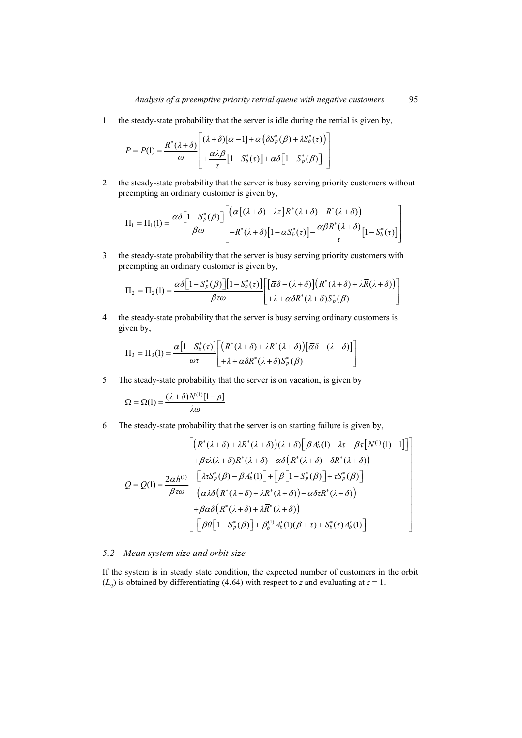1 the steady-state probability that the server is idle during the retrial is given by,

$$
P = P(1) = \frac{R^*(\lambda + \delta)}{\omega} \left[ \frac{(\lambda + \delta)[\overline{\alpha} - 1] + \alpha(\delta S_p^*(\beta) + \lambda S_b^*(\tau))}{\tau} \right]
$$

2 the steady-state probability that the server is busy serving priority customers without preempting an ordinary customer is given by,

$$
\Pi_1 = \Pi_1(1) = \frac{\alpha \delta \left[1 - S_p^*(\beta)\right]}{\beta \omega} \left[ \frac{\left(\overline{\alpha}\left[(\lambda + \delta) - \lambda z\right]\overline{R}^*(\lambda + \delta) - R^*(\lambda + \delta)\right)}{-R^*(\lambda + \delta)\left[1 - \alpha S_b^*(\tau)\right] - \frac{\alpha \beta R^*(\lambda + \delta)}{\tau}\left[1 - S_b^*(\tau)\right]} \right]
$$

3 the steady-state probability that the server is busy serving priority customers with preempting an ordinary customer is given by,

$$
\Pi_2 = \Pi_2(1) = \frac{\alpha \delta \left[1 - S_p^*(\beta)\right] \left[1 - S_b^*(\tau)\right] \left[\overline{\alpha} \delta - (\lambda + \delta)\right] \left(R^*(\lambda + \delta) + \lambda \overline{R}(\lambda + \delta)\right)}{\beta \tau \omega} + \lambda + \alpha \delta R^*(\lambda + \delta) S_p^*(\beta)
$$

4 the steady-state probability that the server is busy serving ordinary customers is given by,

$$
\Pi_3 = \Pi_3(1) = \frac{\alpha \left[1 - S_b^*(\tau)\right]}{\omega \tau} \left[ \begin{pmatrix} R^*(\lambda + \delta) + \lambda \overline{R}^*(\lambda + \delta) \\ + \lambda + \alpha \delta R^*(\lambda + \delta) S_p^*(\beta) \end{pmatrix} \right]
$$

5 The steady-state probability that the server is on vacation, is given by

$$
\Omega = \Omega(1) = \frac{(\lambda + \delta)N^{(1)}[1 - \rho]}{\lambda \omega}
$$

6 The steady-state probability that the server is on starting failure is given by,

$$
Q = Q(1) = \frac{2\bar{\alpha}h^{(1)}}{\beta\tau\omega} \begin{bmatrix} \left(R^*(\lambda + \delta) + \lambda \overline{R}^*(\lambda + \delta)\right)(\lambda + \delta) \left[\beta A'_b(1) - \lambda \tau - \beta \tau \left[N^{(1)}(1) - 1\right]\right] \\ + \beta \tau \lambda (\lambda + \delta) \overline{R}^*(\lambda + \delta) - \alpha \delta \left(R^*(\lambda + \delta) - \delta \overline{R}^*(\lambda + \delta)\right) \\ \left[\lambda \tau S_p^*(\beta) - \beta A'_b(1)\right] + \left[\beta \left[1 - S_p^*(\beta)\right] + \tau S_p^*(\beta)\right] \\ \left(\alpha \lambda \delta \left(R^*(\lambda + \delta) + \lambda \overline{R}^*(\lambda + \delta)\right) - \alpha \delta \tau R^*(\lambda + \delta)\right) \\ + \beta \alpha \delta \left(R^*(\lambda + \delta) + \lambda \overline{R}^*(\lambda + \delta)\right) \\ \left[\beta \theta \left[1 - S_p^*(\beta)\right] + \beta_b^{(1)} A'_b(1)(\beta + \tau) + S_b^*(\tau) A'_b(1)\right] \end{bmatrix}
$$

#### *5.2 Mean system size and orbit size*

If the system is in steady state condition, the expected number of customers in the orbit  $(L_q)$  is obtained by differentiating (4.64) with respect to *z* and evaluating at  $z = 1$ .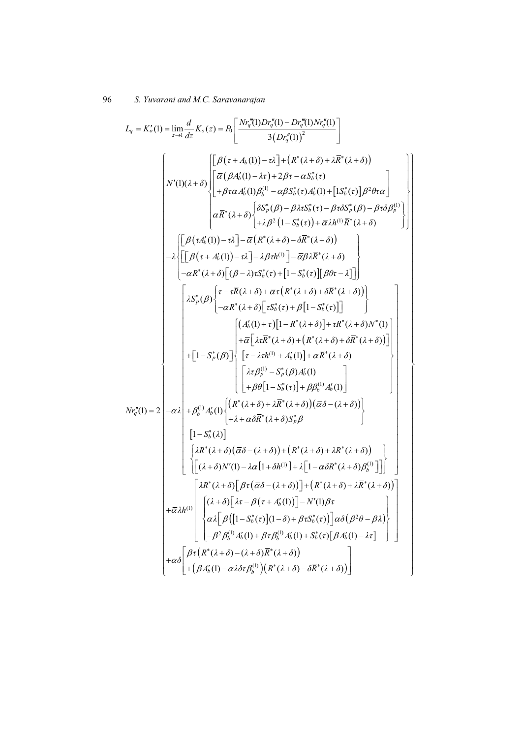$$
L_{q} = K'_{o}(1) = \lim_{z \to 1} \frac{d}{dz} K_{o}(z) = P_{0} \left[ \frac{Nr_{q}^{m}(1)Dr_{q}^{m}(1) - Dr_{q}^{m}(1)Nr_{q}^{m}(1)}{3(Dr_{q}^{n}(1))^{2}} \right]
$$
\n
$$
N'(1)(\lambda + \delta) \left[ \frac{\left[ \beta(\tau + A_{b}(1)) - \tau \lambda \right] + (\mathcal{R}^{*}(\lambda + \delta) + \lambda \overline{\mathcal{R}}^{*}(\lambda + \delta))}{\pi \beta \alpha A'_{b}(1) \beta_{b}^{(1)} - \alpha \beta S'_{b}(t) A'_{b}(1) + [\Gamma S'_{o}(t)] \beta^{2} \theta \tau \alpha \right]
$$
\n
$$
= \lambda \left\{ \begin{bmatrix} \beta(\tau + A_{b}(1)) - \tau \lambda \end{bmatrix} - \overline{\alpha} (\mathcal{R}^{*}(\lambda + \delta) - \beta \overline{\mathcal{R}}^{*}(\lambda + \delta)) \right\}
$$
\n
$$
= \lambda \left\{ \begin{bmatrix} \beta(\tau A'_{b}(1)) - \tau \lambda \end{bmatrix} - \overline{\alpha} (\mathcal{R}^{*}(\lambda + \delta) - \beta \overline{\mathcal{R}}^{*}(\lambda + \delta)) \right\}
$$
\n
$$
= \lambda \left\{ \begin{bmatrix} \beta(\tau A'_{b}(1)) - \tau \lambda \end{bmatrix} - \overline{\alpha} (\mathcal{R}^{*}(\lambda + \delta) - \delta \overline{\mathcal{R}}^{*}(\lambda + \delta)) \right\}
$$
\n
$$
= \lambda \left\{ \begin{bmatrix} \beta(\tau A'_{b}(1)) - \tau \lambda \end{bmatrix} - \overline{\alpha} (\mathcal{R}^{*}(\lambda + \delta) - \delta \overline{\mathcal{R}}^{*}(\lambda + \delta)) \right\}
$$
\n
$$
= \lambda \left\{ \begin{bmatrix} \beta(\tau A'_{b}(1)) - \tau \lambda \end{bmatrix} - \lambda \beta \tau h^{(1)} \right\} - \overline{\alpha} \beta \lambda \overline{\mathcal{R}}^{*}(\lambda + \delta) \right\}
$$
\n
$$
= \lambda \left\{ \begin{bmatrix} \tau - \overline{\mathcal{R}}(\lambda + \delta) + \overline{\alpha} \
$$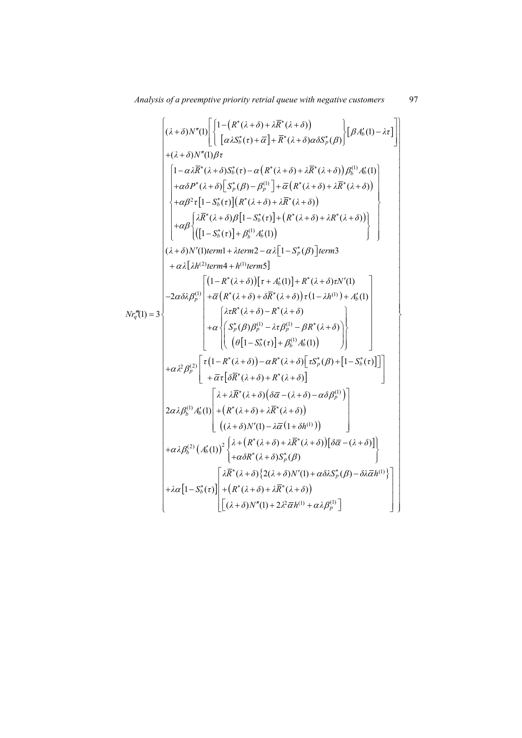$$
\begin{bmatrix}\n(\lambda + \delta)N''(1) \begin{bmatrix}\n1 - (R^*(\lambda + \delta) + \lambda \overline{R}^*(\lambda + \delta)) \\
\lambda \overline{\lambda}^* (\lambda + \delta) \overline{\lambda}^* (\lambda + \delta) \overline{\lambda}^* (\lambda + \delta) \overline{\lambda}^* (\lambda + \delta) \overline{\lambda}^* (\lambda + \delta) \overline{\lambda}^* (\lambda + \delta) \overline{\lambda}^* (\lambda + \delta) \overline{\lambda}^* (\lambda + \delta) \overline{\lambda}^* (\lambda + \delta) \overline{\lambda}^* (\lambda + \delta) \overline{\lambda}^* (\lambda + \delta) \overline{\lambda}^* (\lambda + \delta) \overline{\lambda}^* (\lambda + \delta) \overline{\lambda}^* (\lambda + \delta) \overline{\lambda}^* (\lambda + \delta) \overline{\lambda}^* (\lambda + \delta) \overline{\lambda}^* (\lambda + \delta) \overline{\lambda}^* (\lambda + \delta) \overline{\lambda}^* (\lambda + \delta) \overline{\lambda}^* (\lambda + \delta) \overline{\lambda}^* (\lambda + \delta) \overline{\lambda}^* (\lambda + \delta) \overline{\lambda}^* (\lambda + \delta) \overline{\lambda}^* (\lambda + \delta) \overline{\lambda}^* (\lambda + \delta) \overline{\lambda}^* (\lambda + \delta) \overline{\lambda}^* (\lambda + \delta) \overline{\lambda}^* (\lambda + \delta) \overline{\lambda}^* (\lambda + \delta) \overline{\lambda}^* (\lambda + \delta) \overline{\lambda}^* (\lambda + \delta) \overline{\lambda}^* (\lambda + \delta) \overline{\lambda}^* (\lambda + \delta) \overline{\lambda}^* (\lambda + \delta) \overline{\lambda}^* (\lambda + \delta) \overline{\lambda}^* (\lambda + \delta) \overline{\lambda}^* (\lambda + \delta) \overline{\lambda}^* (\lambda + \delta) \overline{\lambda}^* (\lambda + \delta) \overline{\lambda}^* (\lambda + \delta) \overline{\lambda}^* (\lambda + \delta) \overline{\lambda}^* (\lambda + \delta) \overline{\lambda}^* (\lambda + \delta) \overline{\lambda}^* (\lambda + \delta) \overline{\lambda}^* (\lambda + \delta) \overline{\lambda}^* (\lambda + \delta) \overline{\lambda}^* (\lambda + \delta) \overline{\lambda}^* (\lambda + \delta) \overline{\lambda}^* (\lambda + \delta) \overline{\lambda}^* (\lambda + \delta) \overline
$$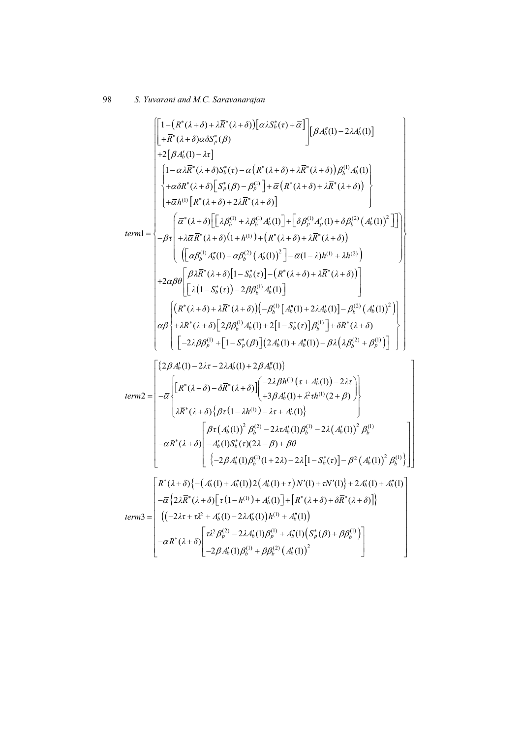$$
\begin{bmatrix}\n[1-(R^*(\lambda+\delta)+\lambda\overline{R}^*(\lambda+\delta))\big[\alpha\lambda S_b^*(\tau)+\overline{\alpha}\big]\n[ \beta A_b^*(1)-2\lambda A_b^*(1)\big] \\
+2[\beta A_b^*(1)-\lambda\tau] \\
[1-\alpha\lambda\overline{R}^*(\lambda+\delta)S_b^*(\tau)-\alpha(R^*(\lambda+\delta)+\lambda\overline{R}^*(\lambda+\delta))\beta_b^{(1)}A_b^*(1)\n+ \alpha\delta R^*(\lambda+\delta)\big[S_p^*(\beta)-\beta_p^{(0)}\big]+ \overline{\alpha}(R^*(\lambda+\delta)+\lambda\overline{R}^*(\lambda+\delta))\n+ \overline{\alpha}R^*(\lambda+\delta)\big[S_p^*(\beta)-\beta_p^{(0)}\big]+ \overline{\alpha}(R^*(\lambda+\delta)+\lambda\overline{R}^*(\lambda+\delta))\n\end{bmatrix}
$$
\n
$$
term1 = \begin{bmatrix}\n[\overline{\alpha}^*(\lambda+\delta)\big[\xi^*(\beta)-\beta_p^{(0)}\big]\xi^*(\lambda)\big] + [\delta\beta_p^{(0)}A_b^*(1)+\delta\beta_b^{(2)}(A_b^*(1))\big]^2\big] \\
[\overline{\alpha}^*(\lambda+\delta)\big[\big[\lambda\beta_b^{(0)}+ \lambda\beta_b^{(0)}A_b^*(1)\big] + [\delta\beta_p^{(0)}A_b^*(1)+\delta\beta_b^{(2)}(A_b^*(1))\big]^2\big] \\
[ \alpha\beta_b^{(1)}A_b^*(1)+\alpha\beta_b^{(2)}(A_b^*(1))\big]\n+ 2\alpha\beta\theta \begin{bmatrix}\n[\beta\lambda\overline{R}^*(\lambda+\delta)[1-S_b^*(\tau)]-(R^*(\lambda+\delta)+\lambda\overline{R}^*(\lambda+\delta)) \\
[\lambda(\lambda+\delta)+\lambda\overline{R}^*(\lambda+\delta))\big[-\beta_b^{(0)}A_b^*(1)\big]\xi^*(1)+2\lambda A_b^*(1)\big]-\beta_b^{(0)}(A_b^*(1))^2\big] \\
[\lambda\beta_b^{(1)}+ \lambda\overline{R}^*(\lambda+\delta)\big[\beta\beta_b^{(0)}+ \beta_b^{(1)}(1+\lambda_b^{(1)})-\beta\lambda(\lambda\beta_b^{(2)}+\beta_p^{(0)})\big]\n\end{bmatrix}\n\end{bmatrix}
$$
\n
$$
term2 = \begin{bmatrix}\n[2\beta A
$$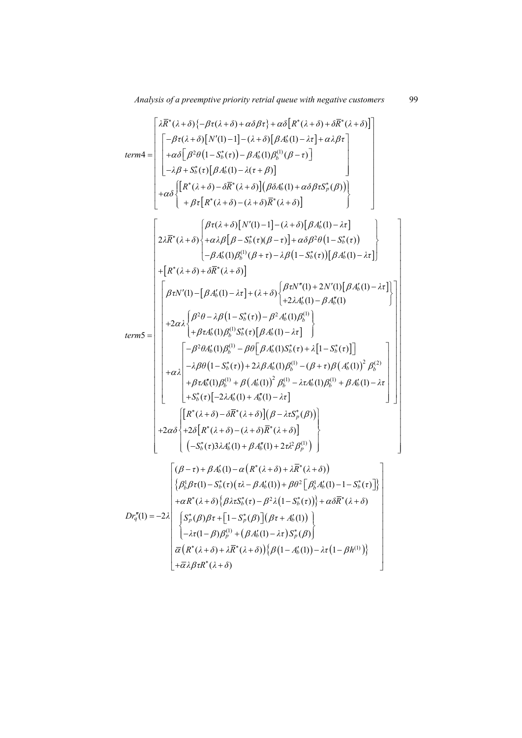$$
\begin{bmatrix}\n\lambda \overline{R}^*(\lambda + \delta) \{-\beta \tau (\lambda + \delta) + \alpha \delta \beta \tau \} + \alpha \delta [\overline{R}^*(\lambda + \delta) + \delta \overline{R}^*(\lambda + \delta)] \\
+ \alpha \delta [\beta^2 \theta (1 - S_b^*(\tau)) - \beta A_b^*(1) \beta_b^{(1)}(\beta - \tau)] \\
+ \alpha \delta [\overline{B^* \theta (1 - S_b^*(\tau))} - \beta A_b^*(1) \beta_b^{(1)}(\beta - \tau)]\n\end{bmatrix} \\
\begin{bmatrix}\n\lambda \overline{B}^*(\lambda + \delta) - \delta \overline{R}^*(\lambda + \delta) \left[ (\beta \delta A_b^*(1) + \alpha \delta \beta \tau S_p^*(\beta)) \right] \\
+ \alpha \delta [\overline{R}^*(\lambda + \delta) - \delta \overline{R}^*(\lambda + \delta) \left[ (\beta \delta A_b^*(1) + \alpha \delta \beta \tau S_p^*(\beta)) \right] \\
+ \beta \tau [\overline{R}^*(\lambda + \delta) - (\lambda + \delta) \overline{R}^*(\lambda + \delta)]\n\end{bmatrix} \\
\begin{bmatrix}\n\sum \overline{R}^*(\lambda + \delta) \left[ \gamma'((1) - 1) - (\lambda + \delta) [\beta A_b^*(1) - \lambda \tau] \right] \\
+ \beta \tau [\lambda^*(\lambda + \delta) + \overline{\alpha} \lambda \beta [\beta - S_b^*(\tau)(\beta - \tau)] + \alpha \delta \beta^2 \theta (1 - S_b^*(\tau))\n\end{bmatrix} \\
\begin{bmatrix}\n\beta \tau N'(1) - [\beta A_b^*(1) - \lambda \tau] + (\lambda + \delta) \begin{bmatrix}\n\beta \tau N''(1) + 2N'(1)[\beta A_b^*(1) - \lambda \tau] \\
+ 2\lambda \begin{bmatrix}\n\beta \tau N'(1) - [\beta A_b^*(1) - \lambda \tau] + (\lambda + \delta) \begin{bmatrix}\n\beta N''(1) + 2N'(1)[\beta A_b^*(1) - \lambda \tau] \\
+ 2\lambda \begin{bmatrix}\n\beta \tau N'(1) - [\beta A_b^*(1) - \lambda \tau] + (\lambda + \delta) \begin{bmatrix}\n\alpha \lambda (1) \beta_b^{(1)} \\
\alpha \lambda (1) \beta_b^{(1)} + \beta \lambda (1) \beta_b^{(1)} \\
\alpha \lambda (1
$$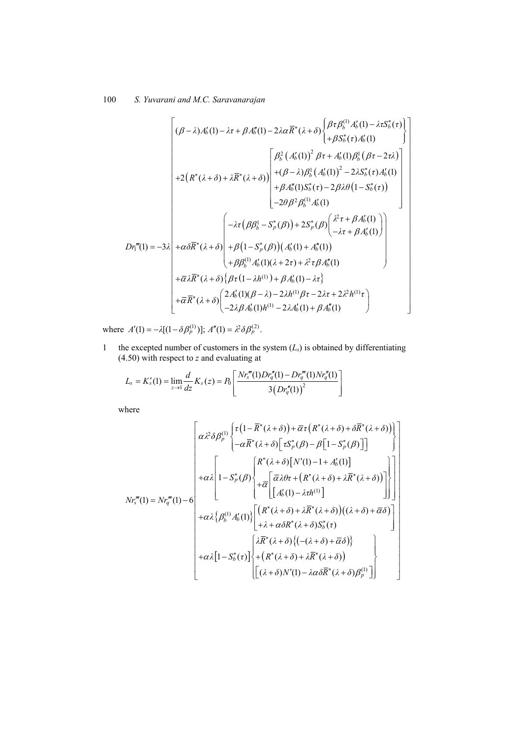$$
D_{\eta}'''(1) = -3\lambda \begin{pmatrix} -\lambda \pi^*(\lambda + \delta) \begin{pmatrix} \beta \tau \beta_0^{(1)} A_b'(1) - \lambda \tau S_b^*(\tau) \end{pmatrix} \\ + \beta A_b^*(1) - \lambda \tau S_b^*(1) - \lambda \tau S_b^*(1) - \lambda \tau S_b^*(1) \end{pmatrix} \\ + 2(R^*(\lambda + \delta) + \lambda \overline{R}^*(\lambda + \delta)) \begin{pmatrix} \beta_b^2 (A_b'(1))^2 \beta \tau + A_b'(1) \beta_b^1 (\beta \tau - 2\tau \lambda) \\ + (\beta - \lambda) \beta_b^1 (A_b'(1))^2 - 2\lambda S_b^*(\tau) A_b'(1) \\ + \beta A_b^*(1) S_b^*(\tau) - 2\beta \lambda \theta (1 - S_b^*(\tau)) \\ - 2\theta \beta^2 \beta_b^{(1)} A_b'(1) \end{pmatrix} \\ - \lambda \tau ( \beta \beta_b^1 - S_p^*(\beta) ) + 2S_p^*(\beta) \begin{pmatrix} \lambda^2 \tau + \beta A_b'(1) \\ -\lambda \tau + \beta A_b'(1) \end{pmatrix} \\ + \alpha \delta \overline{R}^*(\lambda + \delta) \begin{pmatrix} -\lambda \tau (\beta \beta_b^1 - S_p^*(\beta)) (A_b'(1) + A_b''(1)) \\ + \beta \beta_b^{(1)} A_b'(1)(\lambda + 2\tau) + \lambda^2 \tau \beta A_b''(1) \\ + \overline{\alpha} \lambda \overline{R}^*(\lambda + \delta) \begin{pmatrix} 2A_b'(1)(\beta - \lambda) - 2\lambda h^{(1)} \beta \tau - 2\lambda \tau + 2\lambda^2 h^{(1)} \tau \\ -2\lambda \beta A_b'(1) h^{(1)} - 2\lambda A_b'(1) + \beta A_b''(1) \end{pmatrix} \end{pmatrix}
$$

where  $A'(1) = -\lambda [(1 - \delta \beta_p^{(1)})]$ ;  $A''(1) = \lambda^2 \delta \beta_p^{(2)}$ .

1 the excepted number of customers in the system  $(L_s)$  is obtained by differentiating (4.50) with respect to *z* and evaluating at

$$
L_s = K'_s(1) = \lim_{z \to 1} \frac{d}{dz} K_s(z) = P_0 \left[ \frac{Nr''_s(1)Dr''_q(1) - Dr'''_q(1)Nr''_q(1)}{3(Dr''_q(1))^2} \right]
$$

where

$$
Nr_s^m(1) = Nr_q^m(1) - 6\begin{bmatrix} \lambda \overline{R}^*(\lambda + \delta) + \overline{\lambda} \overline{R}^*(\lambda + \delta) + \delta \overline{R}^*(\lambda + \delta) \\ -\alpha \overline{R}^*(\lambda + \delta) \left[ \overline{\kappa} S_p^*(\beta) - \beta \left[ 1 - S_p^*(\beta) \right] \right] \\ + \alpha \lambda \left[ 1 - S_p^*(\beta) \left\{ \begin{aligned} &R^*(\lambda + \delta) \left[ N'(1) - 1 + A_b'(1) \right] \\ + \overline{\alpha} \left[ \overline{\alpha} \lambda \theta \tau + \left( R^*(\lambda + \delta) + \lambda \overline{R}^*(\lambda + \delta) \right) \right] \\ + \overline{\alpha} \left[ A_b'(1) - \lambda \tau h^{(1)} \right] \end{aligned} \right] \right] \\ + \alpha \lambda \left\{ \beta_b^{(1)} A_b'(1) \right\} \left[ \left( R^*(\lambda + \delta) + \lambda \overline{R}^*(\lambda + \delta) \right) \left( (\lambda + \delta) + \overline{\alpha} \delta \right) \right] \\ + \alpha \lambda \left[ 1 - S_b^*(\lambda) \right] \left\{ \begin{aligned} &\lambda \overline{R}^*(\lambda + \delta) \left\{ (-(\lambda + \delta) + \overline{\alpha} \delta) \right\} \\ + (\lambda + \alpha \delta R^*(\lambda + \delta) S_b^*(\tau) \right] \\ + (\alpha \lambda \left[ 1 - S_b^*(\tau) \right] \left\{ \begin{aligned} &\lambda \overline{R}^*(\lambda + \delta) \left\{ (-(\lambda + \delta) + \overline{\alpha} \delta) \right\} \\ &+ (\lambda + \delta) N'(1) - \lambda \alpha \delta \overline{R}^*(\lambda + \delta) \beta_b^{(1)} \end{aligned} \right] \end{bmatrix} \right\}
$$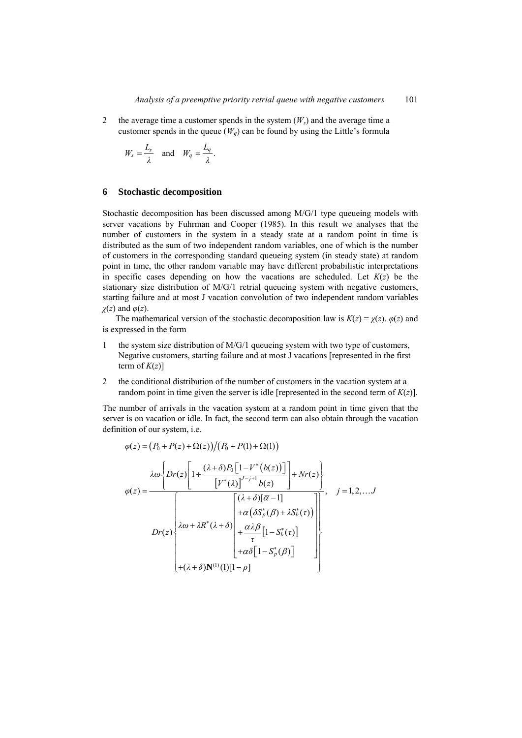2 the average time a customer spends in the system  $(W<sub>s</sub>)$  and the average time a customer spends in the queue  $(W_a)$  can be found by using the Little's formula

$$
W_s = \frac{L_s}{\lambda}
$$
 and  $W_q = \frac{L_q}{\lambda}$ .

#### **6 Stochastic decomposition**

Stochastic decomposition has been discussed among M/G/1 type queueing models with server vacations by Fuhrman and Cooper (1985). In this result we analyses that the number of customers in the system in a steady state at a random point in time is distributed as the sum of two independent random variables, one of which is the number of customers in the corresponding standard queueing system (in steady state) at random point in time, the other random variable may have different probabilistic interpretations in specific cases depending on how the vacations are scheduled. Let  $K(z)$  be the stationary size distribution of M/G/1 retrial queueing system with negative customers, starting failure and at most J vacation convolution of two independent random variables *χ*(*z*) and *φ*(*z*).

The mathematical version of the stochastic decomposition law is  $K(z) = \chi(z)$ .  $\varphi(z)$  and is expressed in the form

- 1 the system size distribution of M/G/1 queueing system with two type of customers, Negative customers, starting failure and at most J vacations [represented in the first term of  $K(z)$ ]
- 2 the conditional distribution of the number of customers in the vacation system at a random point in time given the server is idle [represented in the second term of  $K(z)$ ].

The number of arrivals in the vacation system at a random point in time given that the server is on vacation or idle. In fact, the second term can also obtain through the vacation definition of our system, i.e.

$$
\varphi(z) = (P_0 + P(z) + \Omega(z))/(P_0 + P(1) + \Omega(1))
$$
\n
$$
\varphi(z) = \frac{\lambda \omega \left\{ Dr(z) \left[ 1 + \frac{(\lambda + \delta)P_0 \left[ 1 - V^* (b(z)) \right]}{[V^* (\lambda)]^{J-j+1} b(z)} \right] + Nr(z) \right\}}{\int \lambda \omega + \lambda R^* (\lambda + \delta) \left[ \frac{\omega}{\pi} + \alpha \left( \delta S_p^* (\beta) + \lambda S_b^* (\tau) \right)}{+ \alpha \left[ 1 - S_b^* (\tau) \right]} \right]}, \quad j = 1, 2, \dots J
$$
\n
$$
Dr(z) = \begin{cases}\n\lambda \omega + \lambda R^* (\lambda + \delta) & \text{if } \lambda = 1, 2, \dots J \\
+\alpha \lambda \beta & \text{if } \lambda = 1, 2, \dots J \\
+\alpha \delta \left[ 1 - S_p^* (\beta) \right]\n\end{cases}
$$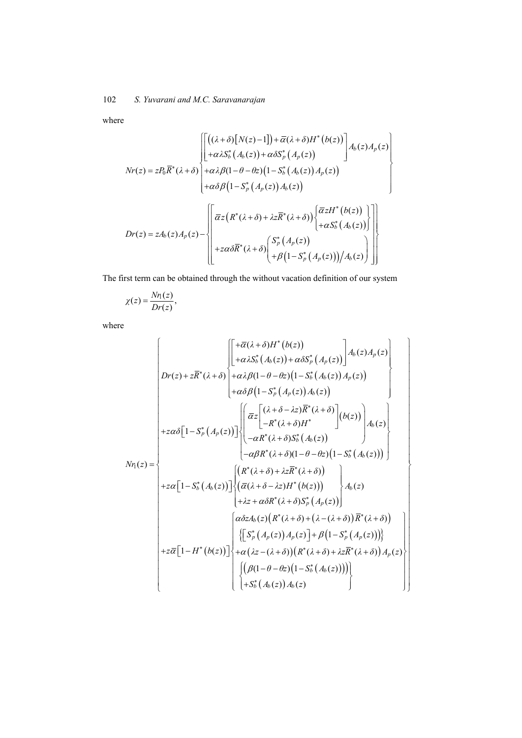where

$$
Nr(z) = zP_0\overline{R}^*(\lambda + \delta) \begin{bmatrix} \left[ \left( (\lambda + \delta) [N(z) - 1] \right) + \overline{\alpha} (\lambda + \delta) H^*(b(z)) \\ + \alpha \lambda S_b^*(A_b(z)) + \alpha \delta S_p^*(A_p(z)) \end{bmatrix} A_b(z) A_p(z) \\ + \alpha \lambda \beta (1 - \theta - \theta z) (1 - S_b^*(A_b(z)) A_p(z)) \\ + \alpha \delta \beta (1 - S_p^*(A_p(z)) A_b(z)) \end{bmatrix}
$$
  

$$
Dr(z) = zA_b(z)A_p(z) - \begin{bmatrix} \overline{\alpha} z (R^*(\lambda + \delta) + \lambda z \overline{R}^*(\lambda + \delta)) \begin{bmatrix} \overline{\alpha} z H^*(b(z)) \\ + \alpha S_b^*(A_b(z)) \end{bmatrix} \\ + z \alpha \delta \overline{R}^*(\lambda + \delta) \begin{bmatrix} S_p^*(A_p(z)) \\ + \beta (1 - S_p^*(A_p(z))) / A_b(z) \end{bmatrix} \end{bmatrix}
$$

The first term can be obtained through the without vacation definition of our system

$$
\chi(z) = \frac{Nr_1(z)}{Dr(z)},
$$

where

$$
N_{\eta}(z) = \begin{cases}\n\begin{bmatrix}\n+\overline{\alpha}(\lambda + \delta)H^*(b(z)) \\
+\alpha \lambda S_b^*(A_b(z)) + \alpha \delta S_p^*(A_p(z))\n\end{bmatrix} A_b(z)A_p(z) \\
\begin{bmatrix}\n\alpha \lambda \beta(1-\theta-\theta z)(1-S_b^*(A_b(z))A_p(z)) \\
+\alpha \delta \beta(1-S_p^*(A_p(z))A_b(z))\n\end{bmatrix} \\
+ z\alpha \delta \left[1-S_p^*(A_p(z))\right] \begin{bmatrix}\n\overline{\alpha} \sum \left[ (\lambda + \delta - \lambda z) \overline{R}^*(\lambda + \delta) \right] (b(z)) \\
-\alpha R^*(\lambda + \delta) S_b^*(A_b(z))\n\end{bmatrix} A_b(z) \\
N_{\eta}(z) = \begin{cases}\n\alpha \sum \left[ \lambda + \delta \lambda (1-\delta - \delta z) \left[ \lambda + \delta \right] (1-\delta - \delta z) \right] (1-\delta_b^*(A_b(z))) \\
-\alpha R^*(\lambda + \delta) S_b^*(A_b(z))\n\end{cases} \\
+ z\alpha \left[1-S_b^*(A_b(z))\right] \begin{Bmatrix}\n\left(R^*(\lambda + \delta) + \lambda z \overline{R}^*(\lambda + \delta)\right) \\
\overline{\alpha}(\lambda + \delta - \lambda z)H^*(b(z)) \\
+\lambda z + \alpha \delta R^*(\lambda + \delta) S_p^*(A_p(z))\n\end{Bmatrix} A_b(z) \\
+ z\overline{\alpha} \left[1-H^*(b(z))\right] \begin{Bmatrix}\n\alpha \delta z A_b(z) \left(R^*(\lambda + \delta) + (\lambda - (\lambda + \delta)) \overline{R}^*(\lambda + \delta)\right) \\
\overline{\alpha} \left[ S_p^*(A_p(z)) A_p(z) \right] + \beta (1-S_p^*(A_p(z)))\n\end{Bmatrix} + \alpha (\lambda z - (\lambda + \delta)) (R^*(\lambda + \delta) + \lambda z \overline{R}^*(\lambda + \delta)) A_p(z) \\
+ S_b^*(A_b(z)) A_b(z)\n\end{cases}
$$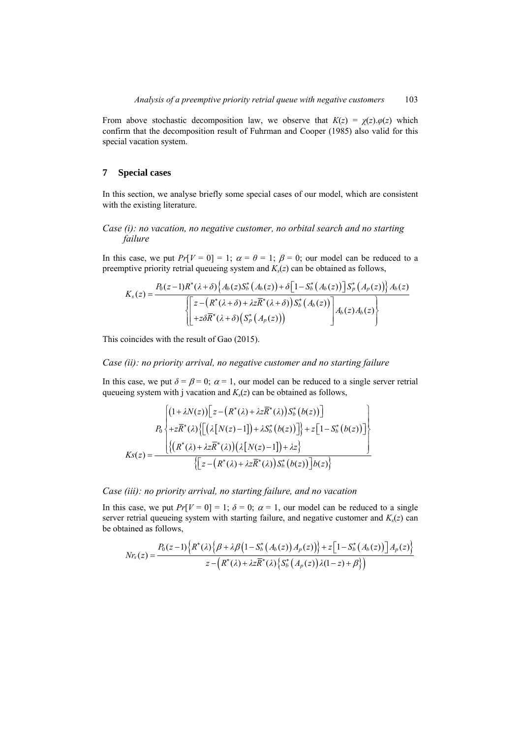From above stochastic decomposition law, we observe that  $K(z) = \chi(z) \cdot \varphi(z)$  which confirm that the decomposition result of Fuhrman and Cooper (1985) also valid for this special vacation system.

#### **7 Special cases**

In this section, we analyse briefly some special cases of our model, which are consistent with the existing literature.

# *Case (i): no vacation, no negative customer, no orbital search and no starting failure*

In this case, we put  $Pr[V = 0] = 1$ ;  $\alpha = \theta = 1$ ;  $\beta = 0$ ; our model can be reduced to a preemptive priority retrial queueing system and  $K<sub>s</sub>(z)$  can be obtained as follows,

$$
K_s(z) = \frac{P_0(z-1)R^*(\lambda+\delta)\left\{A_b(z)S_b^*(A_b(z))+\delta\left[1-S_b^*(A_b(z))\right]S_p^*(A_p(z))\right\}A_b(z)}{\sqrt{\left[z-\left(R^*(\lambda+\delta)+\lambda z\overline{R}^*(\lambda+\delta)\right)S_b^*(A_b(z))\right]A_b(z)A_b(z)}}\left[\frac{z-(R^*(\lambda+\delta)+\lambda z\overline{R}^*(\lambda+\delta))S_b^*(A_b(z))}{+z\delta\overline{R}^*(\lambda+\delta)\left(S_p^*(A_p(z))\right)}\right]
$$

This coincides with the result of Gao (2015).

#### *Case (ii): no priority arrival, no negative customer and no starting failure*

In this case, we put  $\delta = \beta = 0$ ;  $\alpha = 1$ , our model can be reduced to a single server retrial queueing system with j vacation and  $K_s(z)$  can be obtained as follows,

$$
K_{S}(z) = \frac{\left\{ (1 + \lambda N(z)) \Big[ z - (R^*(\lambda) + \lambda z \overline{R}^*(\lambda)) S_b^*(b(z)) \Big] \right\}}{\left\{ \left\{ (z \Big[ N(z) - 1] \right\} + \lambda S_b^*(b(z)) \right] \right\} + z \Big[ 1 - S_b^*(b(z)) \Big]}}{\left\{ \left( R^*(\lambda) + \lambda z \overline{R}^*(\lambda) \right) \left( \lambda \big[ N(z) - 1 \big] \right) + \lambda z \right\}}
$$
\n
$$
K_{S}(z) = \frac{\left\{ \left( R^*(\lambda) + \lambda z \overline{R}^*(\lambda) \right) \left( \lambda \big[ N(z) - 1 \big] \right) + \lambda z \right\}}{\left\{ \left[ z - \left( R^*(\lambda) + \lambda z \overline{R}^*(\lambda) \right) S_b^*(b(z)) \right] b(z) \right\}}
$$

#### *Case (iii): no priority arrival, no starting failure, and no vacation*

In this case, we put  $Pr[V = 0] = 1$ ;  $\delta = 0$ ;  $\alpha = 1$ , our model can be reduced to a single server retrial queueing system with starting failure, and negative customer and  $K_s(z)$  can be obtained as follows,

$$
Nr_s(z) = \frac{P_0(z-1)\Big\{R^*(\lambda)\Big\{\beta+\lambda\beta\big(1-S_b^*(A_b(z))A_p(z)\big)\Big\}+z\Big[1-S_b^*(A_b(z))\Big]A_p(z)\Big\}}{z-\Big(R^*(\lambda)+\lambda z\overline{R}^*(\lambda)\Big\{S_b^*(A_p(z))\lambda(1-z)+\beta\Big\}\Big)}
$$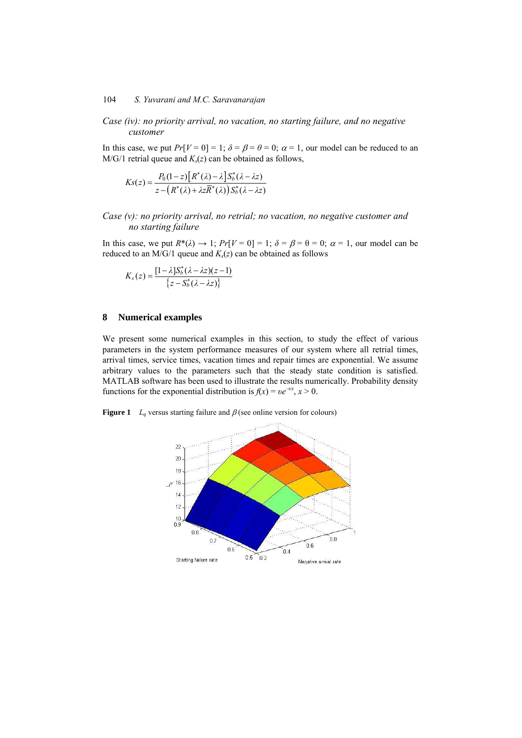## *Case (iv): no priority arrival, no vacation, no starting failure, and no negative customer*

In this case, we put  $Pr[V = 0] = 1$ ;  $\delta = \beta = \theta = 0$ ;  $\alpha = 1$ , our model can be reduced to an  $M/G/1$  retrial queue and  $K_s(z)$  can be obtained as follows,

$$
Ks(z) = \frac{P_0(1-z)\left[R^*(\lambda)-\lambda\right]S_b^*(\lambda-\lambda z)}{z-\left(R^*(\lambda)+\lambda z\overline{R}^*(\lambda)\right)S_b^*(\lambda-\lambda z)}
$$

## *Case (v): no priority arrival, no retrial; no vacation, no negative customer and no starting failure*

In this case, we put  $R^*(\lambda) \to 1$ ;  $Pr[V = 0] = 1$ ;  $\delta = \beta = \theta = 0$ ;  $\alpha = 1$ , our model can be reduced to an  $M/G/1$  queue and  $K_s(z)$  can be obtained as follows

$$
K_s(z) = \frac{[1-\lambda]S_b^*(\lambda - \lambda z)(z-1)}{\{z - S_b^*(\lambda - \lambda z)\}}
$$

#### **8 Numerical examples**

We present some numerical examples in this section, to study the effect of various parameters in the system performance measures of our system where all retrial times, arrival times, service times, vacation times and repair times are exponential. We assume arbitrary values to the parameters such that the steady state condition is satisfied. MATLAB software has been used to illustrate the results numerically. Probability density functions for the exponential distribution is  $f(x) = v e^{-vx}$ ,  $x > 0$ .

**Figure 1** *L<sub>q</sub>* versus starting failure and  $\beta$  (see online version for colours)

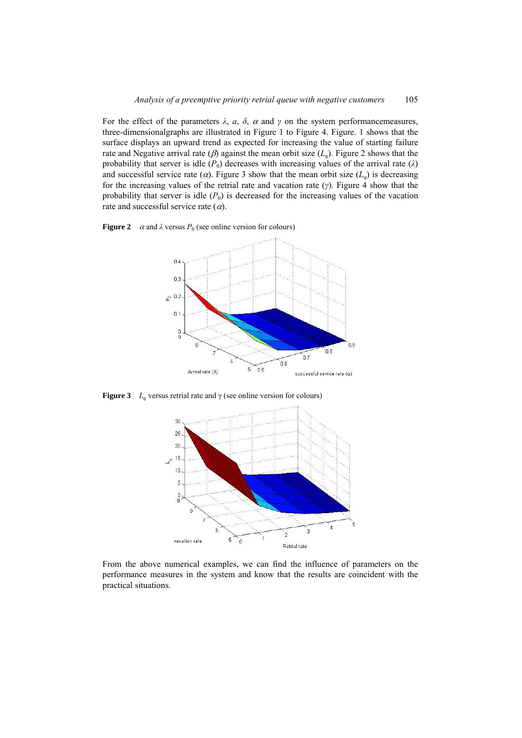For the effect of the parameters  $\lambda$ ,  $\alpha$ ,  $\delta$ ,  $\alpha$  and  $\gamma$  on the system performancemeasures, three-dimensionalgraphs are illustrated in Figure 1 to Figure 4. Figure. 1 shows that the surface displays an upward trend as expected for increasing the value of starting failure rate and Negative arrival rate ( $\beta$ ) against the mean orbit size ( $L_q$ ). Figure 2 shows that the probability that server is idle  $(P_0)$  decreases with increasing values of the arrival rate ( $\lambda$ ) and successful service rate ( $\alpha$ ). Figure 3 show that the mean orbit size ( $L_q$ ) is decreasing for the increasing values of the retrial rate and vacation rate (*γ*). Figure 4 show that the probability that server is idle  $(P_0)$  is decreased for the increasing values of the vacation rate and successful service rate  $(\alpha)$ .

**Figure 2**  $\alpha$  and  $\lambda$  versus  $P_0$  (see online version for colours)



**Figure 3** *L<sub>q</sub>* versus retrial rate and  $\gamma$  (see online version for colours)



From the above numerical examples, we can find the influence of parameters on the performance measures in the system and know that the results are coincident with the practical situations.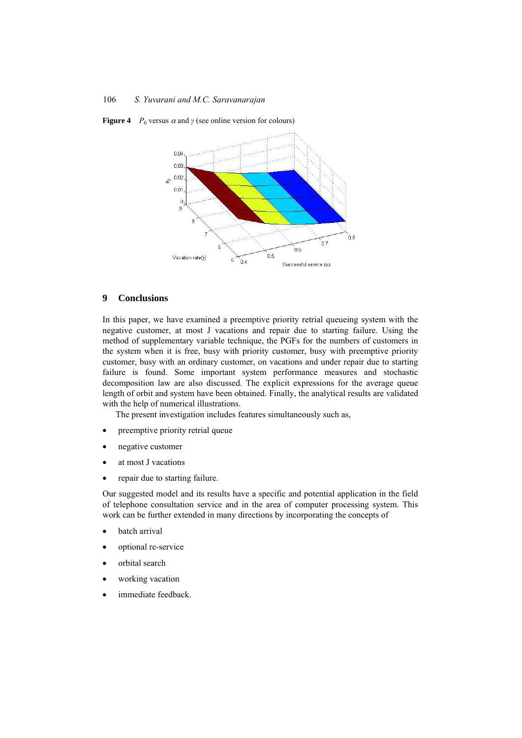



#### **9 Conclusions**

In this paper, we have examined a preemptive priority retrial queueing system with the negative customer, at most J vacations and repair due to starting failure. Using the method of supplementary variable technique, the PGFs for the numbers of customers in the system when it is free, busy with priority customer, busy with preemptive priority customer, busy with an ordinary customer, on vacations and under repair due to starting failure is found. Some important system performance measures and stochastic decomposition law are also discussed. The explicit expressions for the average queue length of orbit and system have been obtained. Finally, the analytical results are validated with the help of numerical illustrations.

The present investigation includes features simultaneously such as,

- preemptive priority retrial queue
- negative customer
- at most J vacations
- repair due to starting failure.

Our suggested model and its results have a specific and potential application in the field of telephone consultation service and in the area of computer processing system. This work can be further extended in many directions by incorporating the concepts of

- batch arrival
- optional re-service
- orbital search
- working vacation
- immediate feedback.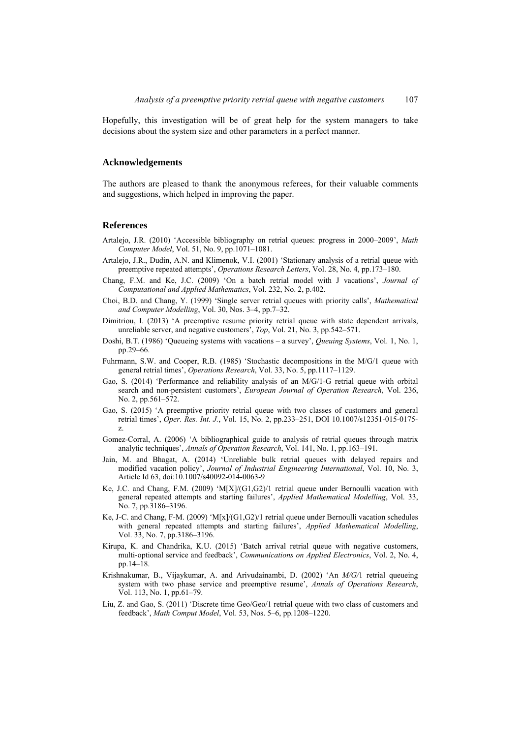Hopefully, this investigation will be of great help for the system managers to take decisions about the system size and other parameters in a perfect manner.

# **Acknowledgements**

The authors are pleased to thank the anonymous referees, for their valuable comments and suggestions, which helped in improving the paper.

#### **References**

- Artalejo, J.R. (2010) 'Accessible bibliography on retrial queues: progress in 2000–2009', *Math Computer Model*, Vol. 51, No. 9, pp.1071–1081.
- Artalejo, J.R., Dudin, A.N. and Klimenok, V.I. (2001) 'Stationary analysis of a retrial queue with preemptive repeated attempts', *Operations Research Letters*, Vol. 28, No. 4, pp.173–180.
- Chang, F.M. and Ke, J.C. (2009) 'On a batch retrial model with J vacations', *Journal of Computational and Applied Mathematics*, Vol. 232, No. 2, p.402.
- Choi, B.D. and Chang, Y. (1999) 'Single server retrial queues with priority calls', *Mathematical and Computer Modelling*, Vol. 30, Nos. 3–4, pp.7–32.
- Dimitriou, I. (2013) 'A preemptive resume priority retrial queue with state dependent arrivals, unreliable server, and negative customers', *Top*, Vol. 21, No. 3, pp.542–571.
- Doshi, B.T. (1986) 'Queueing systems with vacations a survey', *Queuing Systems*, Vol. 1, No. 1, pp.29–66.
- Fuhrmann, S.W. and Cooper, R.B. (1985) 'Stochastic decompositions in the M/G/1 queue with general retrial times', *Operations Research*, Vol. 33, No. 5, pp.1117–1129.
- Gao, S. (2014) 'Performance and reliability analysis of an M/G/1-G retrial queue with orbital search and non-persistent customers', *European Journal of Operation Research*, Vol. 236, No. 2, pp.561–572.
- Gao, S. (2015) 'A preemptive priority retrial queue with two classes of customers and general retrial times', *Oper. Res. Int. J.*, Vol. 15, No. 2, pp.233–251, DOI 10.1007/s12351-015-0175 z.
- Gomez-Corral, A. (2006) 'A bibliographical guide to analysis of retrial queues through matrix analytic techniques', *Annals of Operation Research*, Vol. 141, No. 1, pp.163–191.
- Jain, M. and Bhagat, A. (2014) 'Unreliable bulk retrial queues with delayed repairs and modified vacation policy', *Journal of Industrial Engineering International*, Vol. 10, No. 3, Article Id 63, doi:10.1007/s40092-014-0063-9
- Ke, J.C. and Chang, F.M. (2009) 'M[X]/(G1,G2)/1 retrial queue under Bernoulli vacation with general repeated attempts and starting failures', *Applied Mathematical Modelling*, Vol. 33, No. 7, pp.3186–3196.
- Ke, J-C. and Chang, F-M. (2009) 'M[x]/(G1,G2)/1 retrial queue under Bernoulli vacation schedules with general repeated attempts and starting failures', *Applied Mathematical Modelling*, Vol. 33, No. 7, pp.3186–3196.
- Kirupa, K. and Chandrika, K.U. (2015) 'Batch arrival retrial queue with negative customers, multi-optional service and feedback', *Communications on Applied Electronics*, Vol. 2, No. 4, pp.14–18.
- Krishnakumar, B., Vijaykumar, A. and Arivudainambi, D. (2002) 'An *M/G/*1 retrial queueing system with two phase service and preemptive resume', *Annals of Operations Research*, Vol. 113, No. 1, pp.61–79.
- Liu, Z. and Gao, S. (2011) 'Discrete time Geo/Geo/1 retrial queue with two class of customers and feedback', *Math Comput Model*, Vol. 53, Nos. 5–6, pp.1208–1220.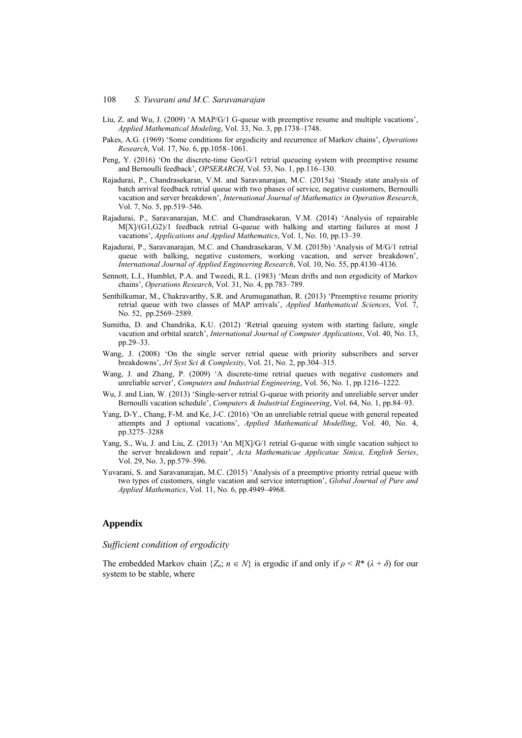- Liu, Z. and Wu, J. (2009) 'A MAP/G/1 G-queue with preemptive resume and multiple vacations', *Applied Mathematical Modeling*, Vol. 33, No. 3, pp.1738–1748.
- Pakes, A.G. (1969) 'Some conditions for ergodicity and recurrence of Markov chains', *Operations Research*, Vol. 17, No. 6, pp.1058–1061.
- Peng, Y. (2016) 'On the discrete-time Geo/G/1 retrial queueing system with preemptive resume and Bernoulli feedback', *OPSERARCH*, Vol. 53, No. 1, pp.116–130.
- Rajadurai, P., Chandrasekaran, V.M. and Saravanarajan, M.C. (2015a) 'Steady state analysis of batch arrival feedback retrial queue with two phases of service, negative customers, Bernoulli vacation and server breakdown', *International Journal of Mathematics in Operation Research*, Vol. 7, No. 5, pp.519–546.
- Rajadurai, P., Saravanarajan, M.C. and Chandrasekaran, V.M. (2014) 'Analysis of repairable M[X]/(G1,G2)/1 feedback retrial G-queue with balking and starting failures at most J vacations', *Applications and Applied Mathematics*, Vol. 1, No. 10, pp.13–39.
- Rajadurai, P., Saravanarajan, M.C. and Chandrasekaran, V.M. (2015b) 'Analysis of M/G/1 retrial queue with balking, negative customers, working vacation, and server breakdown', *International Journal of Applied Engineering Research*, Vol. 10, No. 55, pp.4130–4136.
- Sennott, L.I., Humblet, P.A. and Tweedi, R.L. (1983) 'Mean drifts and non ergodicity of Markov chains', *Operations Research*, Vol. 31, No. 4, pp.783–789.
- Senthilkumar, M., Chakravarthy, S.R. and Arumuganathan, R. (2013) 'Preemptive resume priority retrial queue with two classes of MAP arrivals', *Applied Mathematical Sciences*, Vol. 7, No. 52, pp.2569–2589.
- Sumitha, D. and Chandrika, K.U. (2012) 'Retrial queuing system with starting failure, single vacation and orbital search', *International Journal of Computer Applications*, Vol. 40, No. 13, pp.29–33.
- Wang, J. (2008) 'On the single server retrial queue with priority subscribers and server breakdowns', *Jrl Syst Sci & Complexity*, Vol. 21, No. 2, pp.304–315.
- Wang, J. and Zhang, P. (2009) 'A discrete-time retrial queues with negative customers and unreliable server', *Computers and Industrial Engineering*, Vol. 56, No. 1, pp.1216–1222.
- Wu, J. and Lian, W. (2013) 'Single-server retrial G-queue with priority and unreliable server under Bernoulli vacation schedule', *Computers & Industrial Engineering*, Vol. 64, No. 1, pp.84–93.
- Yang, D-Y., Chang, F-M. and Ke, J-C. (2016) 'On an unreliable retrial queue with general repeated attempts and J optional vacations', *Applied Mathematical Modelling*, Vol. 40, No. 4, pp.3275–3288
- Yang, S., Wu, J. and Liu, Z. (2013) 'An M[X]/G/1 retrial G-queue with single vacation subject to the server breakdown and repair', *Acta Mathematicae Applicatae Sinica, English Series*, Vol. 29, No. 3, pp.579–596.
- Yuvarani, S. and Saravanarajan, M.C. (2015) 'Analysis of a preemptive priority retrial queue with two types of customers, single vacation and service interruption', *Global Journal of Pure and Applied Mathematics*, Vol. 11, No. 6, pp.4949–4968.

## **Appendix**

## *Sufficient condition of ergodicity*

The embedded Markov chain  $\{Z_n; n \in N\}$  is ergodic if and only if  $\rho \le R^*$  ( $\lambda + \delta$ ) for our system to be stable, where